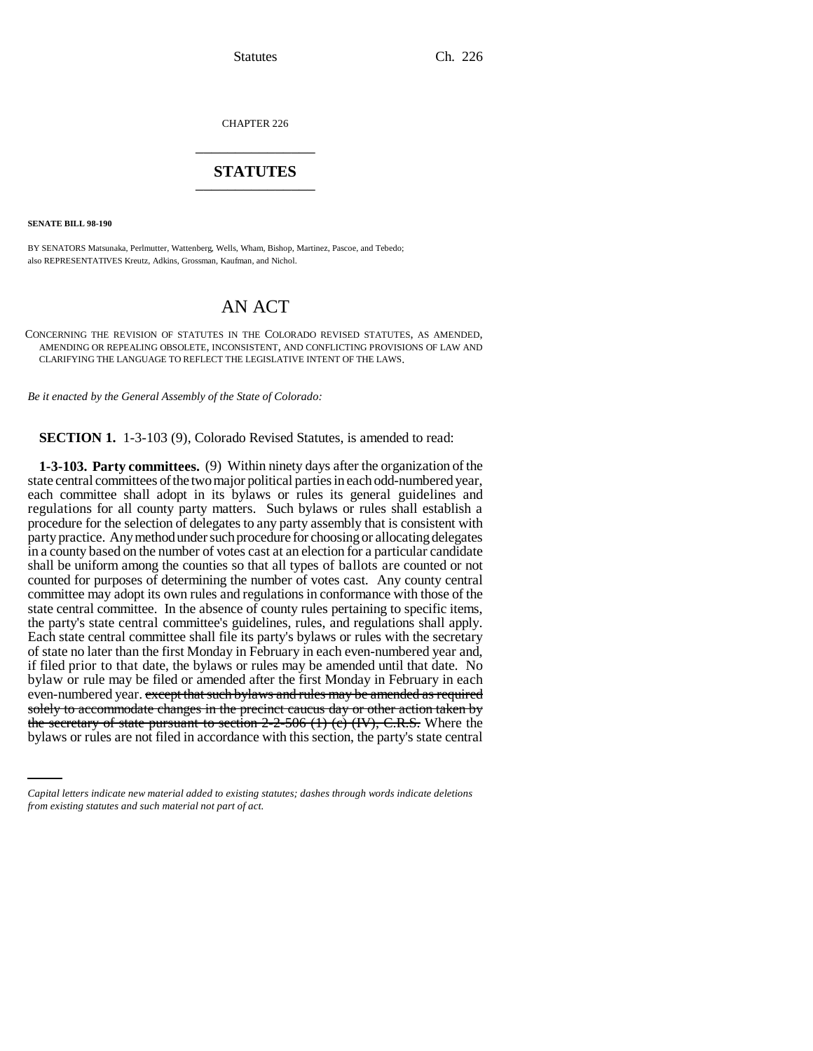CHAPTER 226 \_\_\_\_\_\_\_\_\_\_\_\_\_\_\_

## **STATUTES** \_\_\_\_\_\_\_\_\_\_\_\_\_\_\_

**SENATE BILL 98-190**

BY SENATORS Matsunaka, Perlmutter, Wattenberg, Wells, Wham, Bishop, Martinez, Pascoe, and Tebedo; also REPRESENTATIVES Kreutz, Adkins, Grossman, Kaufman, and Nichol.

# AN ACT

CONCERNING THE REVISION OF STATUTES IN THE COLORADO REVISED STATUTES, AS AMENDED, AMENDING OR REPEALING OBSOLETE, INCONSISTENT, AND CONFLICTING PROVISIONS OF LAW AND CLARIFYING THE LANGUAGE TO REFLECT THE LEGISLATIVE INTENT OF THE LAWS.

*Be it enacted by the General Assembly of the State of Colorado:*

**SECTION 1.** 1-3-103 (9), Colorado Revised Statutes, is amended to read:

solely to accommodate changes in the precinct caucus day or other action taken by **1-3-103. Party committees.** (9) Within ninety days after the organization of the state central committees of the two major political parties in each odd-numbered year, each committee shall adopt in its bylaws or rules its general guidelines and regulations for all county party matters. Such bylaws or rules shall establish a procedure for the selection of delegates to any party assembly that is consistent with party practice. Any method under such procedure for choosing or allocating delegates in a county based on the number of votes cast at an election for a particular candidate shall be uniform among the counties so that all types of ballots are counted or not counted for purposes of determining the number of votes cast. Any county central committee may adopt its own rules and regulations in conformance with those of the state central committee. In the absence of county rules pertaining to specific items, the party's state central committee's guidelines, rules, and regulations shall apply. Each state central committee shall file its party's bylaws or rules with the secretary of state no later than the first Monday in February in each even-numbered year and, if filed prior to that date, the bylaws or rules may be amended until that date. No bylaw or rule may be filed or amended after the first Monday in February in each even-numbered year. except that such bylaws and rules may be amended as required the secretary of state pursuant to section 2-2-506 (1) (c) (IV), C.R.S. Where the bylaws or rules are not filed in accordance with this section, the party's state central

*Capital letters indicate new material added to existing statutes; dashes through words indicate deletions from existing statutes and such material not part of act.*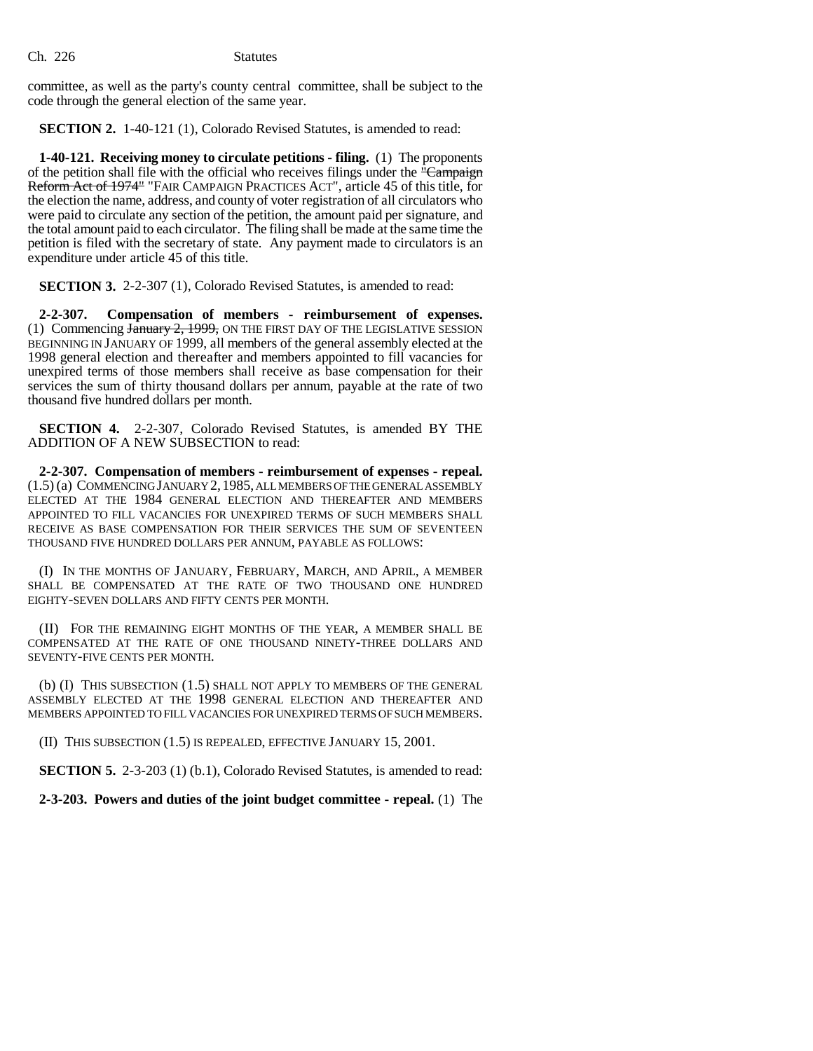committee, as well as the party's county central committee, shall be subject to the code through the general election of the same year.

**SECTION 2.** 1-40-121 (1), Colorado Revised Statutes, is amended to read:

**1-40-121. Receiving money to circulate petitions - filing.** (1) The proponents of the petition shall file with the official who receives filings under the "Campaign" Reform Act of 1974" "FAIR CAMPAIGN PRACTICES ACT", article 45 of this title, for the election the name, address, and county of voter registration of all circulators who were paid to circulate any section of the petition, the amount paid per signature, and the total amount paid to each circulator. The filing shall be made at the same time the petition is filed with the secretary of state. Any payment made to circulators is an expenditure under article 45 of this title.

**SECTION 3.** 2-2-307 (1), Colorado Revised Statutes, is amended to read:

**2-2-307. Compensation of members - reimbursement of expenses.** (1) Commencing January 2, 1999, ON THE FIRST DAY OF THE LEGISLATIVE SESSION BEGINNING IN JANUARY OF 1999, all members of the general assembly elected at the 1998 general election and thereafter and members appointed to fill vacancies for unexpired terms of those members shall receive as base compensation for their services the sum of thirty thousand dollars per annum, payable at the rate of two thousand five hundred dollars per month.

**SECTION 4.** 2-2-307, Colorado Revised Statutes, is amended BY THE ADDITION OF A NEW SUBSECTION to read:

**2-2-307. Compensation of members - reimbursement of expenses - repeal.** (1.5) (a) COMMENCING JANUARY 2,1985, ALL MEMBERS OF THE GENERAL ASSEMBLY ELECTED AT THE 1984 GENERAL ELECTION AND THEREAFTER AND MEMBERS APPOINTED TO FILL VACANCIES FOR UNEXPIRED TERMS OF SUCH MEMBERS SHALL RECEIVE AS BASE COMPENSATION FOR THEIR SERVICES THE SUM OF SEVENTEEN THOUSAND FIVE HUNDRED DOLLARS PER ANNUM, PAYABLE AS FOLLOWS:

(I) IN THE MONTHS OF JANUARY, FEBRUARY, MARCH, AND APRIL, A MEMBER SHALL BE COMPENSATED AT THE RATE OF TWO THOUSAND ONE HUNDRED EIGHTY-SEVEN DOLLARS AND FIFTY CENTS PER MONTH.

(II) FOR THE REMAINING EIGHT MONTHS OF THE YEAR, A MEMBER SHALL BE COMPENSATED AT THE RATE OF ONE THOUSAND NINETY-THREE DOLLARS AND SEVENTY-FIVE CENTS PER MONTH.

(b) (I) THIS SUBSECTION (1.5) SHALL NOT APPLY TO MEMBERS OF THE GENERAL ASSEMBLY ELECTED AT THE 1998 GENERAL ELECTION AND THEREAFTER AND MEMBERS APPOINTED TO FILL VACANCIES FOR UNEXPIRED TERMS OF SUCH MEMBERS.

(II) THIS SUBSECTION (1.5) IS REPEALED, EFFECTIVE JANUARY 15, 2001.

**SECTION 5.** 2-3-203 (1) (b.1), Colorado Revised Statutes, is amended to read:

**2-3-203. Powers and duties of the joint budget committee - repeal.** (1) The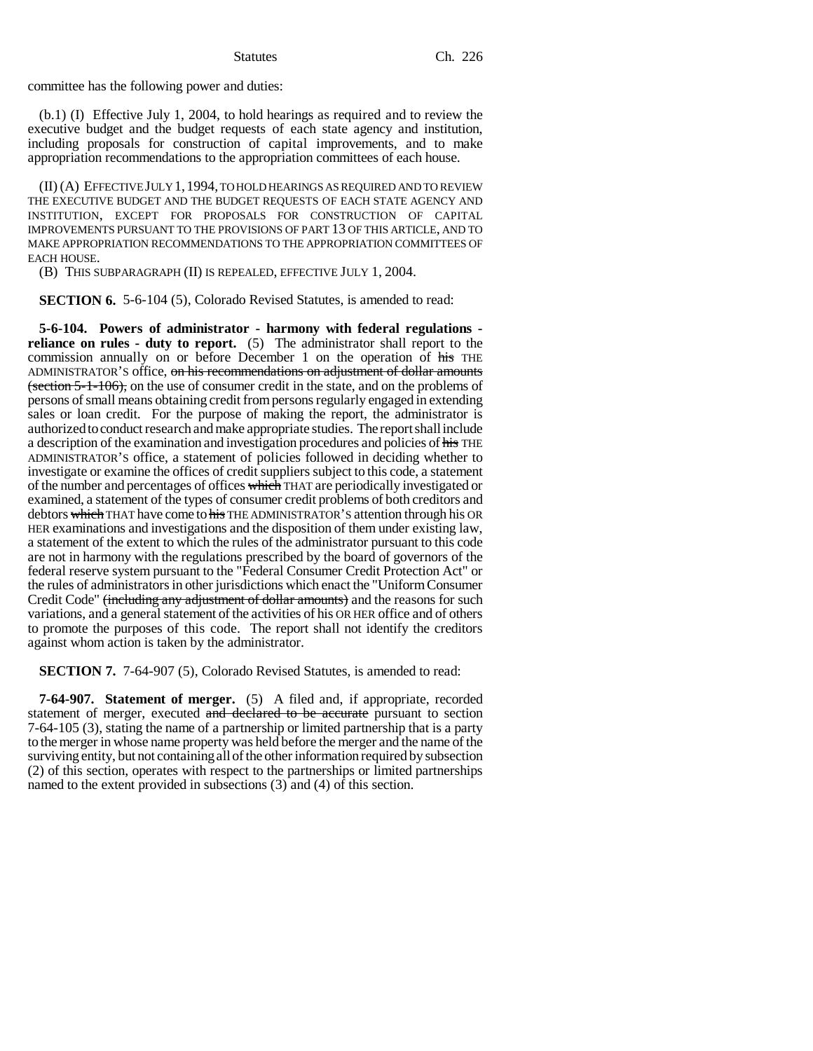committee has the following power and duties:

(b.1) (I) Effective July 1, 2004, to hold hearings as required and to review the executive budget and the budget requests of each state agency and institution, including proposals for construction of capital improvements, and to make appropriation recommendations to the appropriation committees of each house.

(II) (A) EFFECTIVE JULY 1,1994, TO HOLD HEARINGS AS REQUIRED AND TO REVIEW THE EXECUTIVE BUDGET AND THE BUDGET REQUESTS OF EACH STATE AGENCY AND INSTITUTION, EXCEPT FOR PROPOSALS FOR CONSTRUCTION OF CAPITAL IMPROVEMENTS PURSUANT TO THE PROVISIONS OF PART 13 OF THIS ARTICLE, AND TO MAKE APPROPRIATION RECOMMENDATIONS TO THE APPROPRIATION COMMITTEES OF EACH HOUSE.

(B) THIS SUBPARAGRAPH (II) IS REPEALED, EFFECTIVE JULY 1, 2004.

**SECTION 6.** 5-6-104 (5), Colorado Revised Statutes, is amended to read:

**5-6-104. Powers of administrator - harmony with federal regulations reliance on rules - duty to report.** (5) The administrator shall report to the commission annually on or before December 1 on the operation of his THE ADMINISTRATOR'S office, on his recommendations on adjustment of dollar amounts (section 5-1-106), on the use of consumer credit in the state, and on the problems of persons of small means obtaining credit from persons regularly engaged in extending sales or loan credit. For the purpose of making the report, the administrator is authorized to conduct research and make appropriate studies. The report shall include a description of the examination and investigation procedures and policies of his THE ADMINISTRATOR'S office, a statement of policies followed in deciding whether to investigate or examine the offices of credit suppliers subject to this code, a statement of the number and percentages of offices which THAT are periodically investigated or examined, a statement of the types of consumer credit problems of both creditors and debtors which THAT have come to his THE ADMINISTRATOR'S attention through his OR HER examinations and investigations and the disposition of them under existing law, a statement of the extent to which the rules of the administrator pursuant to this code are not in harmony with the regulations prescribed by the board of governors of the federal reserve system pursuant to the "Federal Consumer Credit Protection Act" or the rules of administrators in other jurisdictions which enact the "Uniform Consumer Credit Code" (including any adjustment of dollar amounts) and the reasons for such variations, and a general statement of the activities of his OR HER office and of others to promote the purposes of this code. The report shall not identify the creditors against whom action is taken by the administrator.

**SECTION 7.** 7-64-907 (5), Colorado Revised Statutes, is amended to read:

**7-64-907. Statement of merger.** (5) A filed and, if appropriate, recorded statement of merger, executed and declared to be accurate pursuant to section 7-64-105 (3), stating the name of a partnership or limited partnership that is a party to the merger in whose name property was held before the merger and the name of the surviving entity, but not containing all of the other information required by subsection (2) of this section, operates with respect to the partnerships or limited partnerships named to the extent provided in subsections (3) and (4) of this section.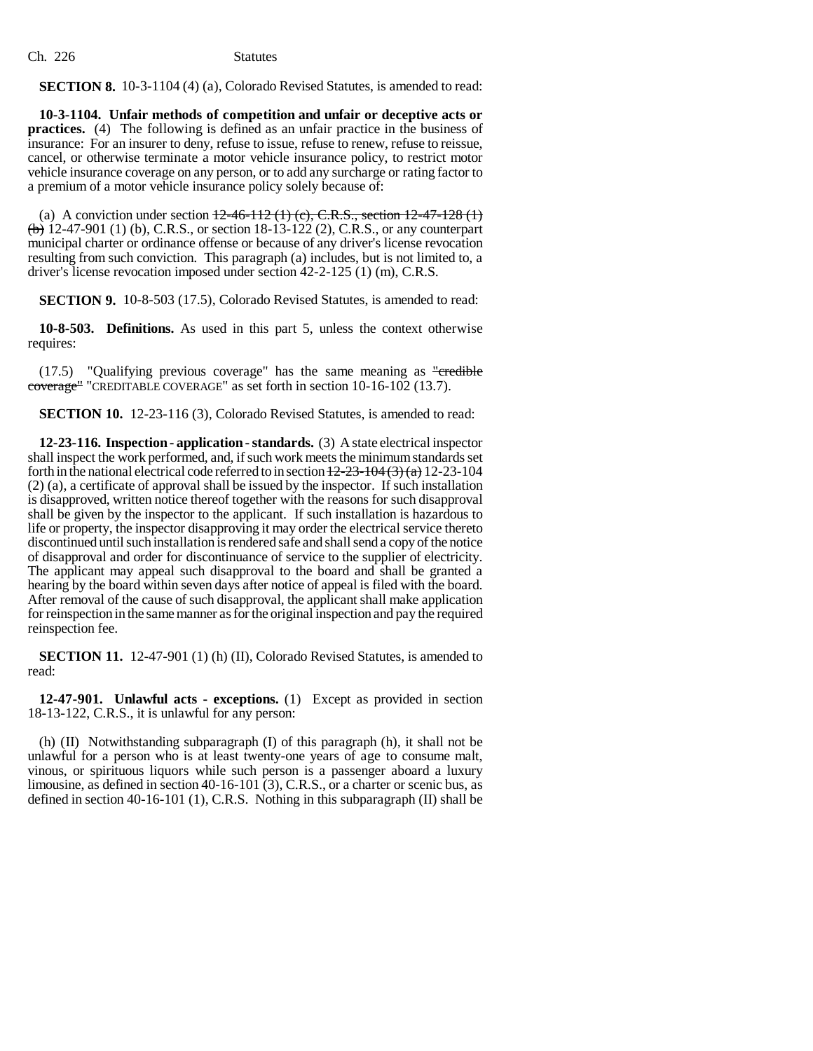**SECTION 8.** 10-3-1104 (4) (a), Colorado Revised Statutes, is amended to read:

**10-3-1104. Unfair methods of competition and unfair or deceptive acts or practices.** (4) The following is defined as an unfair practice in the business of insurance: For an insurer to deny, refuse to issue, refuse to renew, refuse to reissue, cancel, or otherwise terminate a motor vehicle insurance policy, to restrict motor vehicle insurance coverage on any person, or to add any surcharge or rating factor to a premium of a motor vehicle insurance policy solely because of:

(a) A conviction under section  $12-46-112$  (1) (c), C.R.S., section  $12-47-128$  (1)  $\left(\frac{b}{b}\right)$  12-47-901 (1) (b), C.R.S., or section 18-13-122 (2), C.R.S., or any counterpart municipal charter or ordinance offense or because of any driver's license revocation resulting from such conviction. This paragraph (a) includes, but is not limited to, a driver's license revocation imposed under section 42-2-125 (1) (m), C.R.S.

**SECTION 9.** 10-8-503 (17.5), Colorado Revised Statutes, is amended to read:

**10-8-503. Definitions.** As used in this part 5, unless the context otherwise requires:

 $(17.5)$  "Qualifying previous coverage" has the same meaning as "credible coverage" "CREDITABLE COVERAGE" as set forth in section 10-16-102 (13.7).

**SECTION 10.** 12-23-116 (3), Colorado Revised Statutes, is amended to read:

**12-23-116. Inspection - application - standards.** (3) A state electrical inspector shall inspect the work performed, and, if such work meets the minimum standards set forth in the national electrical code referred to in section  $\frac{12-23-104(3)(a)}{22-23-104}$ (2) (a), a certificate of approval shall be issued by the inspector. If such installation is disapproved, written notice thereof together with the reasons for such disapproval shall be given by the inspector to the applicant. If such installation is hazardous to life or property, the inspector disapproving it may order the electrical service thereto discontinued until such installation is rendered safe and shall send a copy of the notice of disapproval and order for discontinuance of service to the supplier of electricity. The applicant may appeal such disapproval to the board and shall be granted a hearing by the board within seven days after notice of appeal is filed with the board. After removal of the cause of such disapproval, the applicant shall make application for reinspection in the same manner as for the original inspection and pay the required reinspection fee.

**SECTION 11.** 12-47-901 (1) (h) (II), Colorado Revised Statutes, is amended to read:

**12-47-901. Unlawful acts - exceptions.** (1) Except as provided in section 18-13-122, C.R.S., it is unlawful for any person:

(h) (II) Notwithstanding subparagraph (I) of this paragraph (h), it shall not be unlawful for a person who is at least twenty-one years of age to consume malt, vinous, or spirituous liquors while such person is a passenger aboard a luxury limousine, as defined in section 40-16-101 (3), C.R.S., or a charter or scenic bus, as defined in section 40-16-101 (1), C.R.S. Nothing in this subparagraph (II) shall be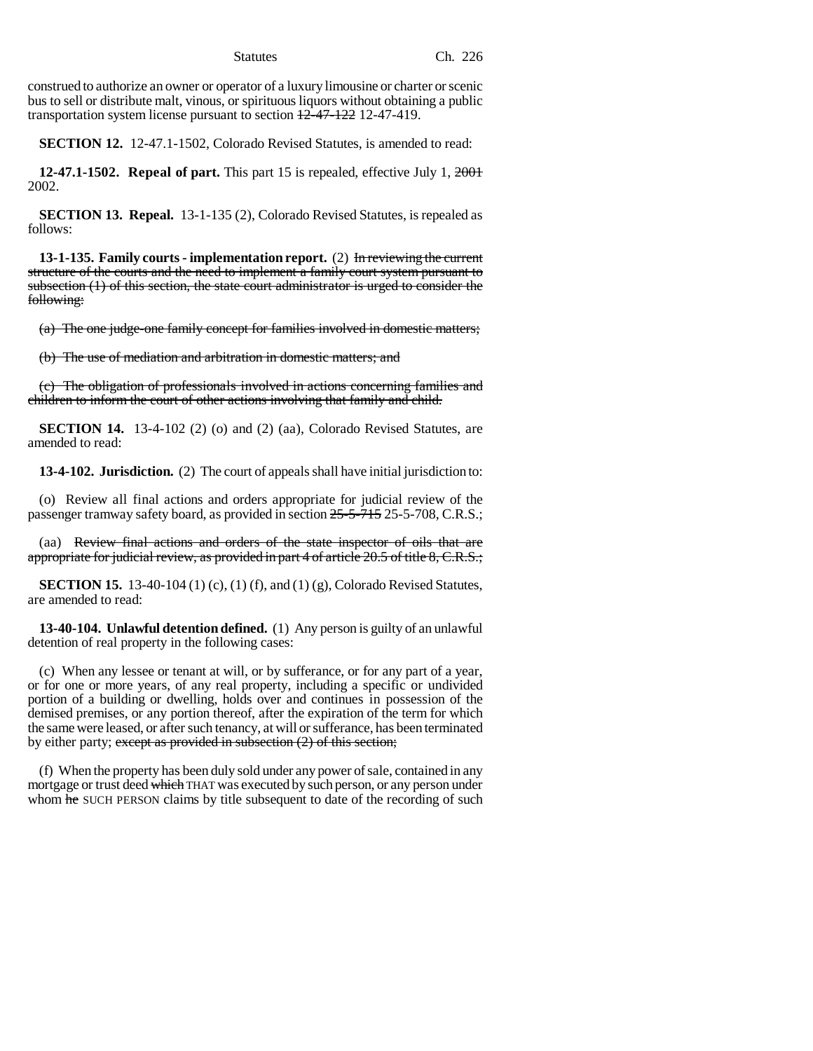Statutes Ch. 226

construed to authorize an owner or operator of a luxury limousine or charter or scenic bus to sell or distribute malt, vinous, or spirituous liquors without obtaining a public transportation system license pursuant to section  $\frac{12-47-122}{2}$  12-47-419.

**SECTION 12.** 12-47.1-1502, Colorado Revised Statutes, is amended to read:

**12-47.1-1502. Repeal of part.** This part 15 is repealed, effective July 1, 2001 2002.

**SECTION 13. Repeal.** 13-1-135 (2), Colorado Revised Statutes, is repealed as follows:

**13-1-135. Family courts - implementation report.** (2) In reviewing the current structure of the courts and the need to implement a family court system pursuant to subsection (1) of this section, the state court administrator is urged to consider the following:

(a) The one judge-one family concept for families involved in domestic matters;

(b) The use of mediation and arbitration in domestic matters; and

(c) The obligation of professionals involved in actions concerning families and children to inform the court of other actions involving that family and child.

**SECTION 14.** 13-4-102 (2) (o) and (2) (aa), Colorado Revised Statutes, are amended to read:

**13-4-102. Jurisdiction.** (2) The court of appeals shall have initial jurisdiction to:

(o) Review all final actions and orders appropriate for judicial review of the passenger tramway safety board, as provided in section 25-5-715 25-5-708, C.R.S.;

(aa) Review final actions and orders of the state inspector of oils that are appropriate for judicial review, as provided in part 4 of article 20.5 of title 8, C.R.S.;

**SECTION 15.** 13-40-104 (1) (c), (1) (f), and (1) (g), Colorado Revised Statutes, are amended to read:

**13-40-104. Unlawful detention defined.** (1) Any person is guilty of an unlawful detention of real property in the following cases:

(c) When any lessee or tenant at will, or by sufferance, or for any part of a year, or for one or more years, of any real property, including a specific or undivided portion of a building or dwelling, holds over and continues in possession of the demised premises, or any portion thereof, after the expiration of the term for which the same were leased, or after such tenancy, at will or sufferance, has been terminated by either party; except as provided in subsection  $(2)$  of this section;

(f) When the property has been duly sold under any power of sale, contained in any mortgage or trust deed which THAT was executed by such person, or any person under whom he SUCH PERSON claims by title subsequent to date of the recording of such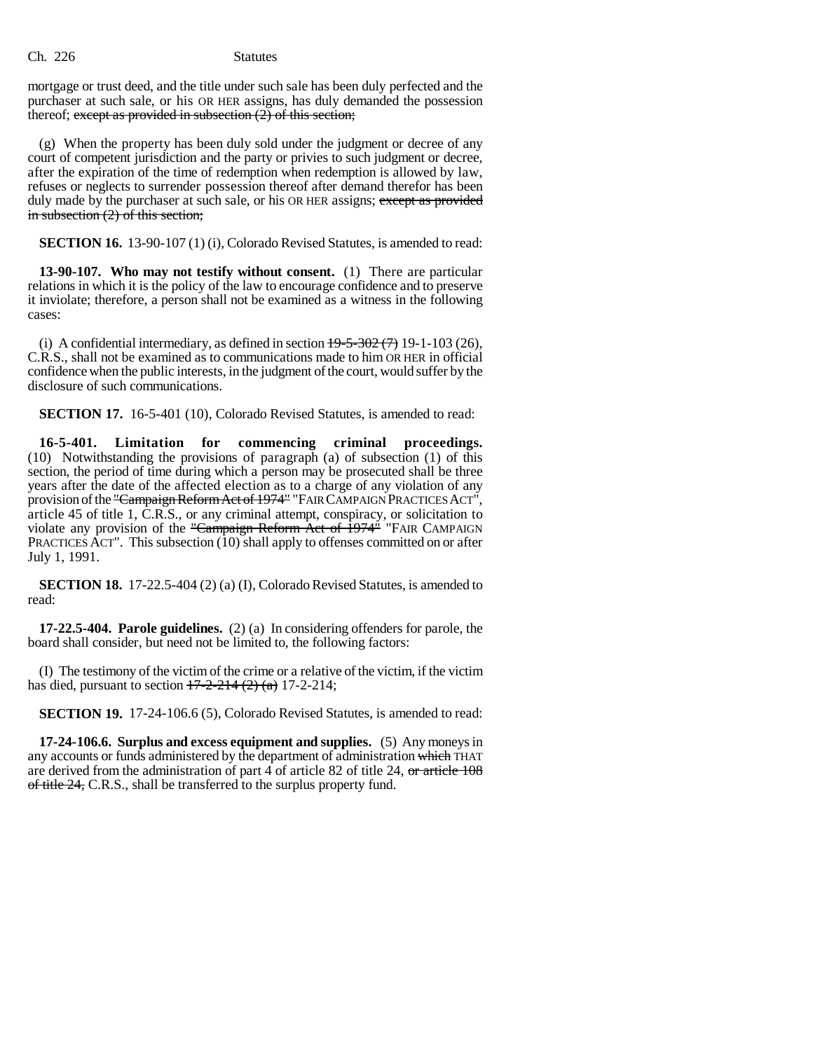mortgage or trust deed, and the title under such sale has been duly perfected and the purchaser at such sale, or his OR HER assigns, has duly demanded the possession thereof; except as provided in subsection  $(2)$  of this section;

(g) When the property has been duly sold under the judgment or decree of any court of competent jurisdiction and the party or privies to such judgment or decree, after the expiration of the time of redemption when redemption is allowed by law, refuses or neglects to surrender possession thereof after demand therefor has been duly made by the purchaser at such sale, or his OR HER assigns; except as provided in subsection (2) of this section;

**SECTION 16.** 13-90-107 (1) (i), Colorado Revised Statutes, is amended to read:

**13-90-107. Who may not testify without consent.** (1) There are particular relations in which it is the policy of the law to encourage confidence and to preserve it inviolate; therefore, a person shall not be examined as a witness in the following cases:

(i) A confidential intermediary, as defined in section  $19-5-302(7)$  19-1-103 (26), C.R.S., shall not be examined as to communications made to him OR HER in official confidence when the public interests, in the judgment of the court, would suffer by the disclosure of such communications.

**SECTION 17.** 16-5-401 (10), Colorado Revised Statutes, is amended to read:

**16-5-401. Limitation for commencing criminal proceedings.** (10) Notwithstanding the provisions of paragraph (a) of subsection (1) of this section, the period of time during which a person may be prosecuted shall be three years after the date of the affected election as to a charge of any violation of any provision of the "Campaign Reform Act of 1974" "FAIR CAMPAIGN PRACTICES ACT", article 45 of title 1, C.R.S., or any criminal attempt, conspiracy, or solicitation to violate any provision of the "Campaign Reform Act of  $\frac{1}{974}$ " "FAIR CAMPAIGN PRACTICES ACT". This subsection (10) shall apply to offenses committed on or after July 1, 1991.

**SECTION 18.** 17-22.5-404 (2) (a) (I), Colorado Revised Statutes, is amended to read:

**17-22.5-404. Parole guidelines.** (2) (a) In considering offenders for parole, the board shall consider, but need not be limited to, the following factors:

(I) The testimony of the victim of the crime or a relative of the victim, if the victim has died, pursuant to section  $17-2-214$  (2) (a) 17-2-214;

**SECTION 19.** 17-24-106.6 (5), Colorado Revised Statutes, is amended to read:

**17-24-106.6. Surplus and excess equipment and supplies.** (5) Any moneys in any accounts or funds administered by the department of administration which THAT are derived from the administration of part 4 of article 82 of title 24, or article 108 of title 24, C.R.S., shall be transferred to the surplus property fund.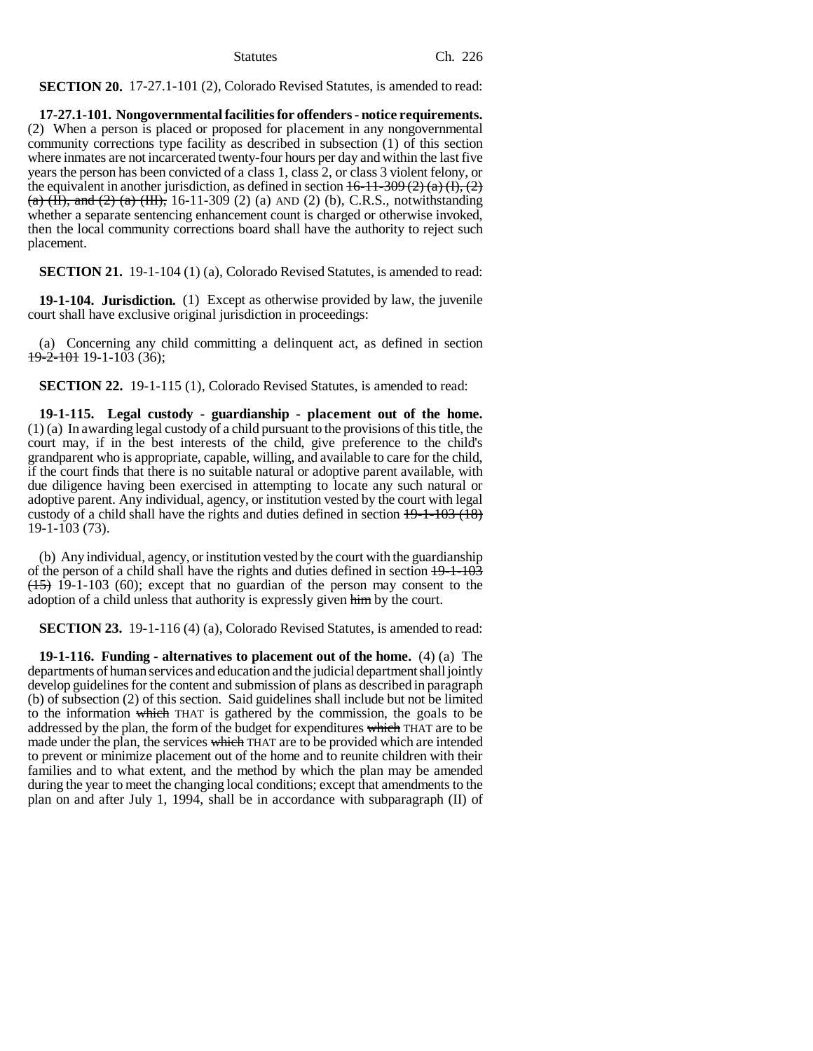**SECTION 20.** 17-27.1-101 (2), Colorado Revised Statutes, is amended to read:

**17-27.1-101. Nongovernmental facilities for offenders - notice requirements.** (2) When a person is placed or proposed for placement in any nongovernmental community corrections type facility as described in subsection (1) of this section where inmates are not incarcerated twenty-four hours per day and within the last five years the person has been convicted of a class 1, class 2, or class 3 violent felony, or the equivalent in another jurisdiction, as defined in section  $16-11-309(2)$  (a)  $(I), (2)$  $(a)$  (H), and (2) (a) (HI), 16-11-309 (2) (a) AND (2) (b), C.R.S., notwithstanding whether a separate sentencing enhancement count is charged or otherwise invoked, then the local community corrections board shall have the authority to reject such placement.

**SECTION 21.** 19-1-104 (1) (a), Colorado Revised Statutes, is amended to read:

**19-1-104. Jurisdiction.** (1) Except as otherwise provided by law, the juvenile court shall have exclusive original jurisdiction in proceedings:

(a) Concerning any child committing a delinquent act, as defined in section  $19 - 2 - 101$  19-1-103 (36);

**SECTION 22.** 19-1-115 (1), Colorado Revised Statutes, is amended to read:

**19-1-115. Legal custody - guardianship - placement out of the home.** (1) (a) In awarding legal custody of a child pursuant to the provisions of this title, the court may, if in the best interests of the child, give preference to the child's grandparent who is appropriate, capable, willing, and available to care for the child, if the court finds that there is no suitable natural or adoptive parent available, with due diligence having been exercised in attempting to locate any such natural or adoptive parent. Any individual, agency, or institution vested by the court with legal custody of a child shall have the rights and duties defined in section  $19-1-103$  (18) 19-1-103 (73).

(b) Any individual, agency, or institution vested by the court with the guardianship of the person of a child shall have the rights and duties defined in section 19-1-103  $(15)$  19-1-103 (60); except that no guardian of the person may consent to the adoption of a child unless that authority is expressly given him by the court.

**SECTION 23.** 19-1-116 (4) (a), Colorado Revised Statutes, is amended to read:

**19-1-116. Funding - alternatives to placement out of the home.** (4) (a) The departments of human services and education and the judicial department shall jointly develop guidelines for the content and submission of plans as described in paragraph (b) of subsection (2) of this section. Said guidelines shall include but not be limited to the information which THAT is gathered by the commission, the goals to be addressed by the plan, the form of the budget for expenditures which THAT are to be made under the plan, the services which THAT are to be provided which are intended to prevent or minimize placement out of the home and to reunite children with their families and to what extent, and the method by which the plan may be amended during the year to meet the changing local conditions; except that amendments to the plan on and after July 1, 1994, shall be in accordance with subparagraph (II) of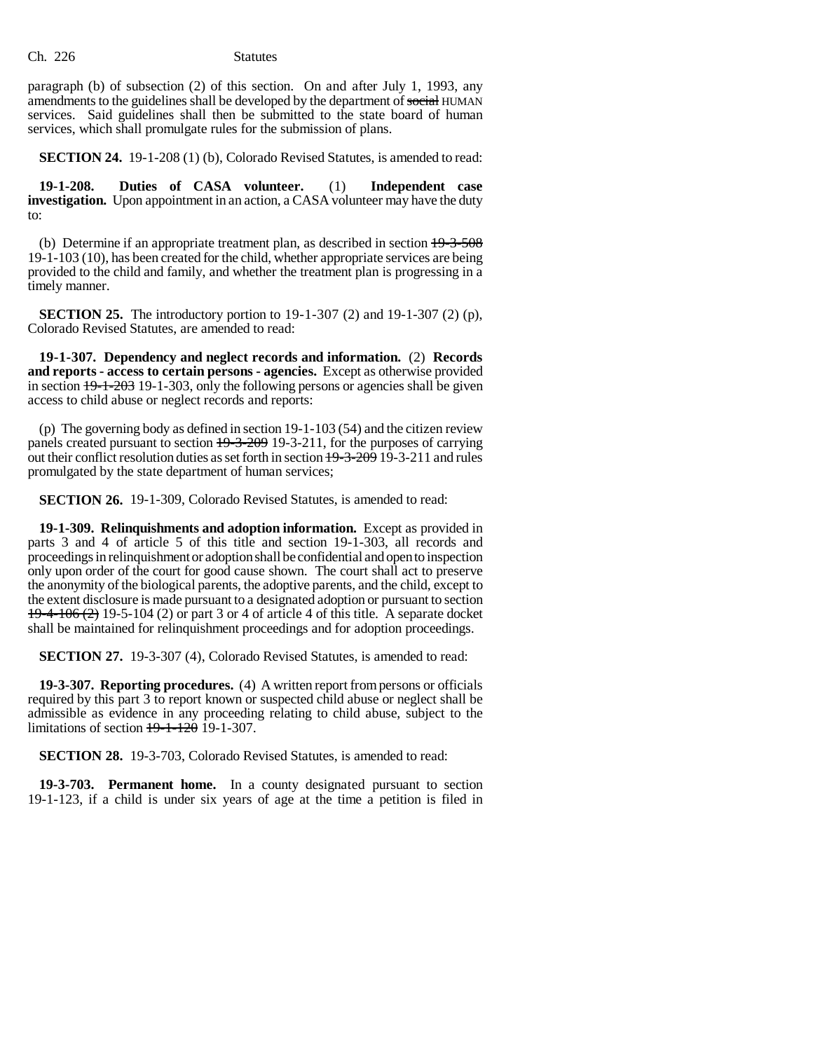paragraph (b) of subsection (2) of this section. On and after July 1, 1993, any amendments to the guidelines shall be developed by the department of social HUMAN services. Said guidelines shall then be submitted to the state board of human services, which shall promulgate rules for the submission of plans.

**SECTION 24.** 19-1-208 (1) (b), Colorado Revised Statutes, is amended to read:

**19-1-208. Duties of CASA volunteer.** (1) **Independent case investigation.** Upon appointment in an action, a CASA volunteer may have the duty to:

(b) Determine if an appropriate treatment plan, as described in section 19-3-508 19-1-103 (10), has been created for the child, whether appropriate services are being provided to the child and family, and whether the treatment plan is progressing in a timely manner.

**SECTION 25.** The introductory portion to 19-1-307 (2) and 19-1-307 (2) (p), Colorado Revised Statutes, are amended to read:

**19-1-307. Dependency and neglect records and information.** (2) **Records and reports - access to certain persons - agencies.** Except as otherwise provided in section 19-1-203 19-1-303, only the following persons or agencies shall be given access to child abuse or neglect records and reports:

(p) The governing body as defined in section 19-1-103 (54) and the citizen review panels created pursuant to section 19-3-209 19-3-211, for the purposes of carrying out their conflict resolution duties as set forth in section 19-3-209 19-3-211 and rules promulgated by the state department of human services;

**SECTION 26.** 19-1-309, Colorado Revised Statutes, is amended to read:

**19-1-309. Relinquishments and adoption information.** Except as provided in parts 3 and 4 of article 5 of this title and section 19-1-303, all records and proceedings in relinquishment or adoption shall be confidential and open to inspection only upon order of the court for good cause shown. The court shall act to preserve the anonymity of the biological parents, the adoptive parents, and the child, except to the extent disclosure is made pursuant to a designated adoption or pursuant to section 19-4-106 (2) 19-5-104 (2) or part 3 or 4 of article 4 of this title. A separate docket shall be maintained for relinquishment proceedings and for adoption proceedings.

**SECTION 27.** 19-3-307 (4), Colorado Revised Statutes, is amended to read:

**19-3-307. Reporting procedures.** (4) A written report from persons or officials required by this part 3 to report known or suspected child abuse or neglect shall be admissible as evidence in any proceeding relating to child abuse, subject to the limitations of section 19-1-120 19-1-307.

**SECTION 28.** 19-3-703, Colorado Revised Statutes, is amended to read:

**19-3-703. Permanent home.** In a county designated pursuant to section 19-1-123, if a child is under six years of age at the time a petition is filed in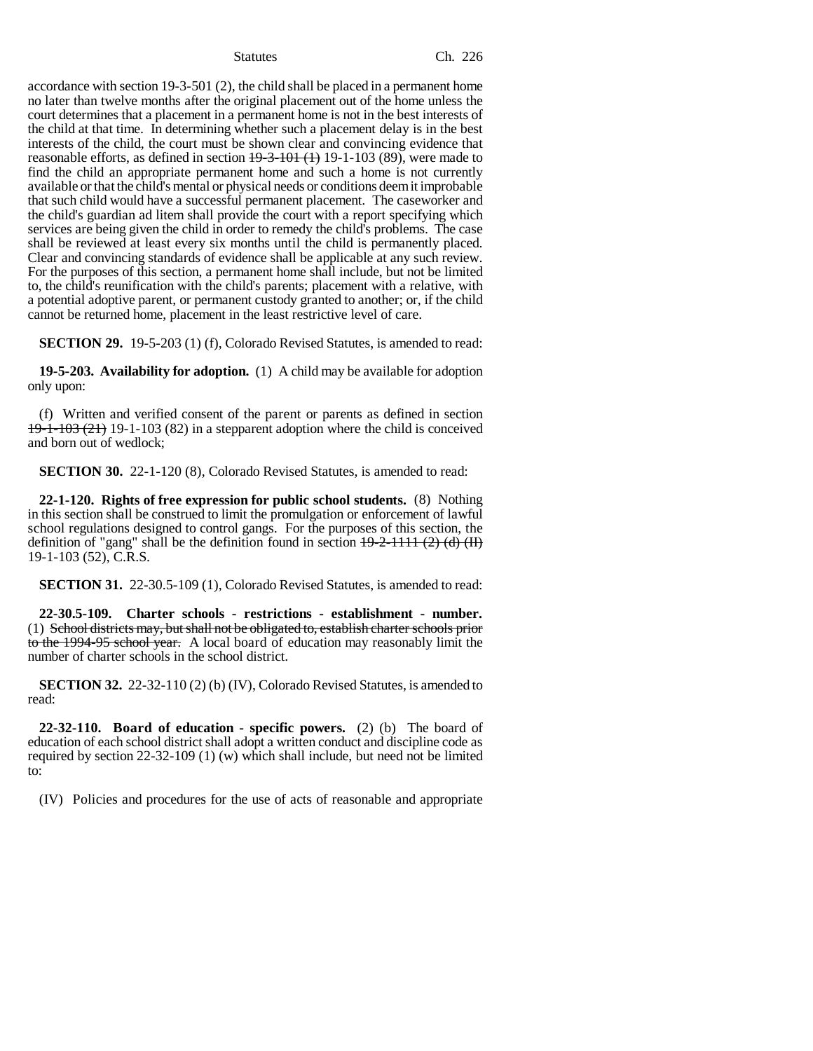Statutes Ch. 226

accordance with section 19-3-501 (2), the child shall be placed in a permanent home no later than twelve months after the original placement out of the home unless the court determines that a placement in a permanent home is not in the best interests of the child at that time. In determining whether such a placement delay is in the best interests of the child, the court must be shown clear and convincing evidence that reasonable efforts, as defined in section  $19-3-101$  (1) 19-1-103 (89), were made to find the child an appropriate permanent home and such a home is not currently available or that the child's mental or physical needs or conditions deem it improbable that such child would have a successful permanent placement. The caseworker and the child's guardian ad litem shall provide the court with a report specifying which services are being given the child in order to remedy the child's problems. The case shall be reviewed at least every six months until the child is permanently placed. Clear and convincing standards of evidence shall be applicable at any such review. For the purposes of this section, a permanent home shall include, but not be limited to, the child's reunification with the child's parents; placement with a relative, with a potential adoptive parent, or permanent custody granted to another; or, if the child cannot be returned home, placement in the least restrictive level of care.

**SECTION 29.** 19-5-203 (1) (f), Colorado Revised Statutes, is amended to read:

**19-5-203. Availability for adoption.** (1) A child may be available for adoption only upon:

(f) Written and verified consent of the parent or parents as defined in section  $19-1-103$  (21) 19-1-103 (82) in a stepparent adoption where the child is conceived and born out of wedlock;

**SECTION 30.** 22-1-120 (8), Colorado Revised Statutes, is amended to read:

**22-1-120. Rights of free expression for public school students.** (8) Nothing in this section shall be construed to limit the promulgation or enforcement of lawful school regulations designed to control gangs. For the purposes of this section, the definition of "gang" shall be the definition found in section  $19-2-1111$  (2) (d) (II) 19-1-103 (52), C.R.S.

**SECTION 31.** 22-30.5-109 (1), Colorado Revised Statutes, is amended to read:

**22-30.5-109. Charter schools - restrictions - establishment - number.** (1) School districts may, but shall not be obligated to, establish charter schools prior to the 1994-95 school year. A local board of education may reasonably limit the number of charter schools in the school district.

**SECTION 32.** 22-32-110 (2) (b) (IV), Colorado Revised Statutes, is amended to read:

**22-32-110. Board of education - specific powers.** (2) (b) The board of education of each school district shall adopt a written conduct and discipline code as required by section 22-32-109 (1) (w) which shall include, but need not be limited to:

(IV) Policies and procedures for the use of acts of reasonable and appropriate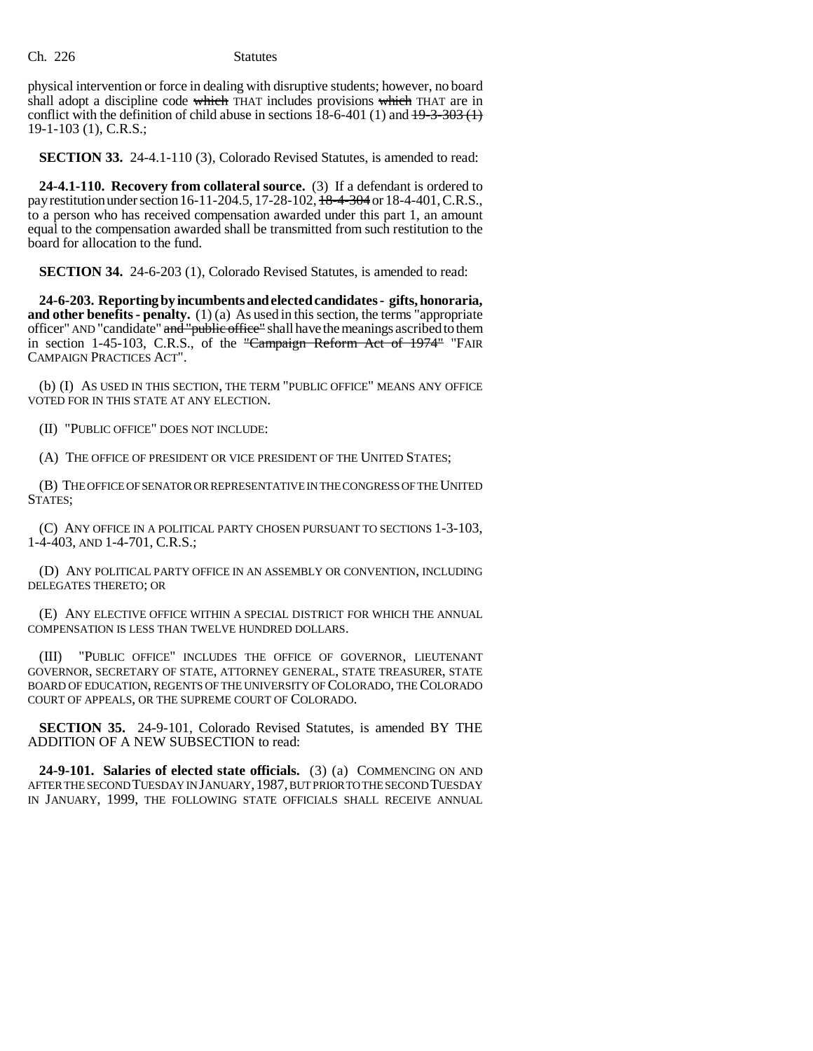physical intervention or force in dealing with disruptive students; however, no board shall adopt a discipline code which THAT includes provisions which THAT are in conflict with the definition of child abuse in sections  $18-6-401$  (1) and  $19-3-303$  (1) 19-1-103 (1), C.R.S.;

**SECTION 33.** 24-4.1-110 (3), Colorado Revised Statutes, is amended to read:

**24-4.1-110. Recovery from collateral source.** (3) If a defendant is ordered to pay restitution under section 16-11-204.5, 17-28-102, 18-4-304 or 18-4-401, C.R.S., to a person who has received compensation awarded under this part 1, an amount equal to the compensation awarded shall be transmitted from such restitution to the board for allocation to the fund.

**SECTION 34.** 24-6-203 (1), Colorado Revised Statutes, is amended to read:

**24-6-203. Reporting by incumbents and elected candidates - gifts, honoraria, and other benefits - penalty.** (1) (a) As used in this section, the terms "appropriate officer" AND "candidate" and "public office" shall have the meanings ascribed to them in section 1-45-103, C.R.S., of the "Campaign Reform Act of 1974" "FAIR CAMPAIGN PRACTICES ACT".

(b) (I) AS USED IN THIS SECTION, THE TERM "PUBLIC OFFICE" MEANS ANY OFFICE VOTED FOR IN THIS STATE AT ANY ELECTION.

(II) "PUBLIC OFFICE" DOES NOT INCLUDE:

(A) THE OFFICE OF PRESIDENT OR VICE PRESIDENT OF THE UNITED STATES;

(B) THE OFFICE OF SENATOR OR REPRESENTATIVE IN THE CONGRESS OF THE UNITED STATES;

(C) ANY OFFICE IN A POLITICAL PARTY CHOSEN PURSUANT TO SECTIONS 1-3-103, 1-4-403, AND 1-4-701, C.R.S.;

(D) ANY POLITICAL PARTY OFFICE IN AN ASSEMBLY OR CONVENTION, INCLUDING DELEGATES THERETO; OR

(E) ANY ELECTIVE OFFICE WITHIN A SPECIAL DISTRICT FOR WHICH THE ANNUAL COMPENSATION IS LESS THAN TWELVE HUNDRED DOLLARS.

(III) "PUBLIC OFFICE" INCLUDES THE OFFICE OF GOVERNOR, LIEUTENANT GOVERNOR, SECRETARY OF STATE, ATTORNEY GENERAL, STATE TREASURER, STATE BOARD OF EDUCATION, REGENTS OF THE UNIVERSITY OF COLORADO, THE COLORADO COURT OF APPEALS, OR THE SUPREME COURT OF COLORADO.

**SECTION 35.** 24-9-101, Colorado Revised Statutes, is amended BY THE ADDITION OF A NEW SUBSECTION to read:

**24-9-101. Salaries of elected state officials.** (3) (a) COMMENCING ON AND AFTER THE SECOND TUESDAY IN JANUARY,1987, BUT PRIOR TO THE SECOND TUESDAY IN JANUARY, 1999, THE FOLLOWING STATE OFFICIALS SHALL RECEIVE ANNUAL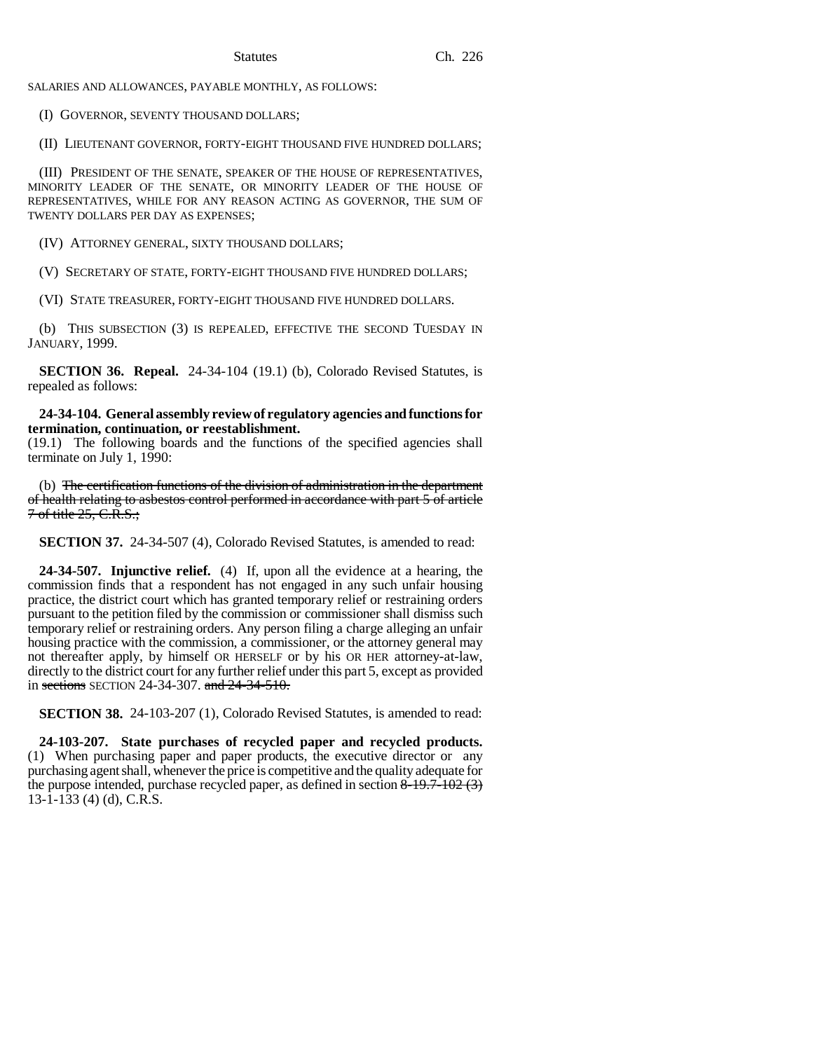SALARIES AND ALLOWANCES, PAYABLE MONTHLY, AS FOLLOWS:

(I) GOVERNOR, SEVENTY THOUSAND DOLLARS;

(II) LIEUTENANT GOVERNOR, FORTY-EIGHT THOUSAND FIVE HUNDRED DOLLARS;

(III) PRESIDENT OF THE SENATE, SPEAKER OF THE HOUSE OF REPRESENTATIVES, MINORITY LEADER OF THE SENATE, OR MINORITY LEADER OF THE HOUSE OF REPRESENTATIVES, WHILE FOR ANY REASON ACTING AS GOVERNOR, THE SUM OF TWENTY DOLLARS PER DAY AS EXPENSES;

(IV) ATTORNEY GENERAL, SIXTY THOUSAND DOLLARS;

(V) SECRETARY OF STATE, FORTY-EIGHT THOUSAND FIVE HUNDRED DOLLARS;

(VI) STATE TREASURER, FORTY-EIGHT THOUSAND FIVE HUNDRED DOLLARS.

(b) THIS SUBSECTION (3) IS REPEALED, EFFECTIVE THE SECOND TUESDAY IN JANUARY, 1999.

**SECTION 36. Repeal.** 24-34-104 (19.1) (b), Colorado Revised Statutes, is repealed as follows:

**24-34-104. General assembly review of regulatory agencies and functions for termination, continuation, or reestablishment.**

(19.1) The following boards and the functions of the specified agencies shall terminate on July 1, 1990:

(b) The certification functions of the division of administration in the department of health relating to asbestos control performed in accordance with part 5 of article  $7$  of title  $25, C.R.S.$ ;

**SECTION 37.** 24-34-507 (4), Colorado Revised Statutes, is amended to read:

**24-34-507. Injunctive relief.** (4) If, upon all the evidence at a hearing, the commission finds that a respondent has not engaged in any such unfair housing practice, the district court which has granted temporary relief or restraining orders pursuant to the petition filed by the commission or commissioner shall dismiss such temporary relief or restraining orders. Any person filing a charge alleging an unfair housing practice with the commission, a commissioner, or the attorney general may not thereafter apply, by himself OR HERSELF or by his OR HER attorney-at-law, directly to the district court for any further relief under this part 5, except as provided in sections SECTION 24-34-307. and 24-34-510.

**SECTION 38.** 24-103-207 (1), Colorado Revised Statutes, is amended to read:

**24-103-207. State purchases of recycled paper and recycled products.** (1) When purchasing paper and paper products, the executive director or any purchasing agent shall, whenever the price is competitive and the quality adequate for the purpose intended, purchase recycled paper, as defined in section  $8-19.7-102(3)$ 13-1-133 (4) (d), C.R.S.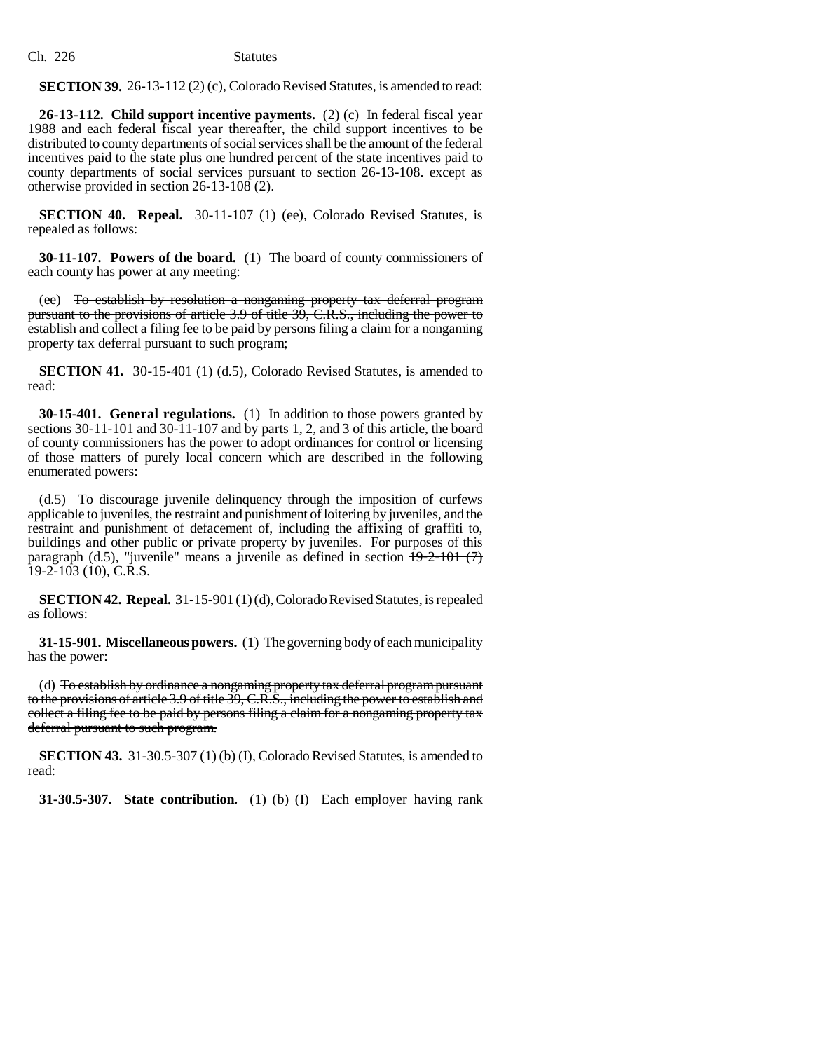**SECTION 39.** 26-13-112 (2) (c), Colorado Revised Statutes, is amended to read:

**26-13-112. Child support incentive payments.** (2) (c) In federal fiscal year 1988 and each federal fiscal year thereafter, the child support incentives to be distributed to county departments of social services shall be the amount of the federal incentives paid to the state plus one hundred percent of the state incentives paid to county departments of social services pursuant to section 26-13-108. except as otherwise provided in section 26-13-108 (2).

**SECTION 40. Repeal.** 30-11-107 (1) (ee), Colorado Revised Statutes, is repealed as follows:

**30-11-107. Powers of the board.** (1) The board of county commissioners of each county has power at any meeting:

(ee) To establish by resolution a nongaming property tax deferral program pursuant to the provisions of article 3.9 of title 39, C.R.S., including the power to establish and collect a filing fee to be paid by persons filing a claim for a nongaming property tax deferral pursuant to such program;

**SECTION 41.** 30-15-401 (1) (d.5), Colorado Revised Statutes, is amended to read:

**30-15-401. General regulations.** (1) In addition to those powers granted by sections 30-11-101 and 30-11-107 and by parts 1, 2, and 3 of this article, the board of county commissioners has the power to adopt ordinances for control or licensing of those matters of purely local concern which are described in the following enumerated powers:

(d.5) To discourage juvenile delinquency through the imposition of curfews applicable to juveniles, the restraint and punishment of loitering by juveniles, and the restraint and punishment of defacement of, including the affixing of graffiti to, buildings and other public or private property by juveniles. For purposes of this paragraph (d.5), "juvenile" means a juvenile as defined in section  $\frac{19-2-101}{7}$ 19-2-103 (10), C.R.S.

**SECTION 42. Repeal.** 31-15-901 (1) (d), Colorado Revised Statutes, is repealed as follows:

**31-15-901. Miscellaneous powers.** (1) The governing body of each municipality has the power:

(d) To establish by ordinance a nongaming property tax deferral program pursuant to the provisions of article 3.9 of title 39, C.R.S., including the power to establish and collect a filing fee to be paid by persons filing a claim for a nongaming property tax deferral pursuant to such program.

**SECTION 43.** 31-30.5-307 (1) (b) (I), Colorado Revised Statutes, is amended to read:

**31-30.5-307. State contribution.** (1) (b) (I) Each employer having rank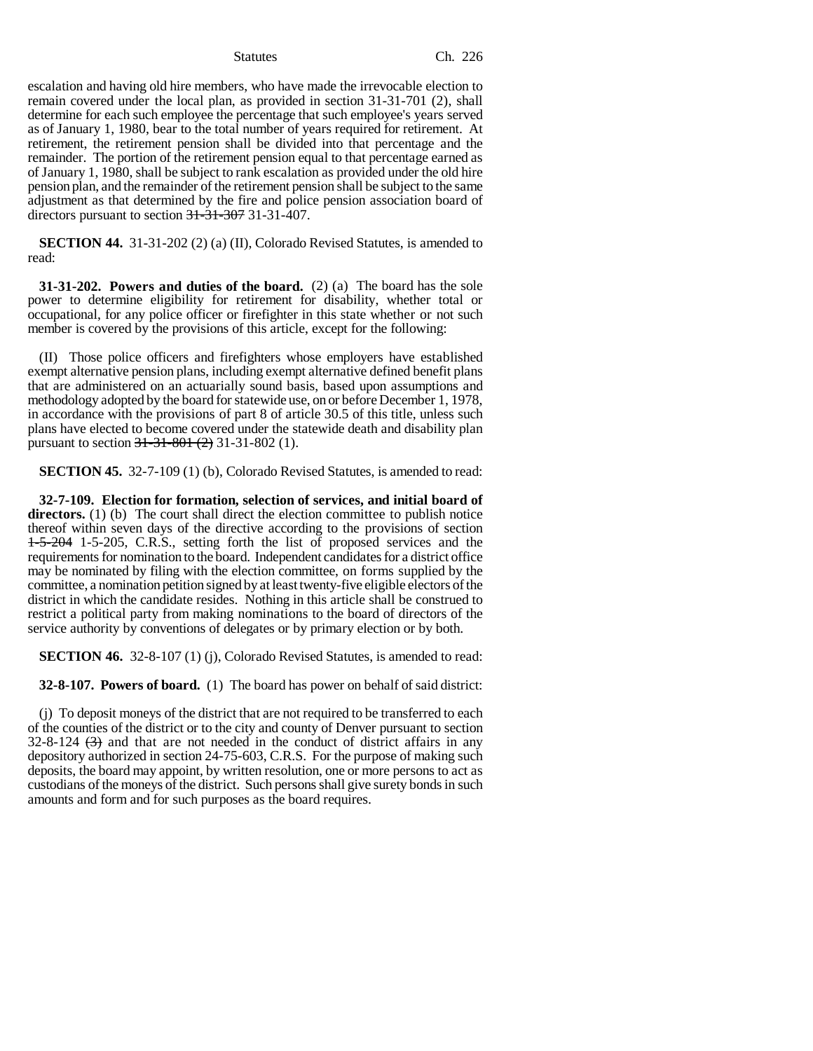escalation and having old hire members, who have made the irrevocable election to remain covered under the local plan, as provided in section 31-31-701 (2), shall determine for each such employee the percentage that such employee's years served as of January 1, 1980, bear to the total number of years required for retirement. At retirement, the retirement pension shall be divided into that percentage and the remainder. The portion of the retirement pension equal to that percentage earned as of January 1, 1980, shall be subject to rank escalation as provided under the old hire pension plan, and the remainder of the retirement pension shall be subject to the same adjustment as that determined by the fire and police pension association board of directors pursuant to section 31-31-307 31-31-407.

**SECTION 44.** 31-31-202 (2) (a) (II), Colorado Revised Statutes, is amended to read:

**31-31-202. Powers and duties of the board.** (2) (a) The board has the sole power to determine eligibility for retirement for disability, whether total or occupational, for any police officer or firefighter in this state whether or not such member is covered by the provisions of this article, except for the following:

(II) Those police officers and firefighters whose employers have established exempt alternative pension plans, including exempt alternative defined benefit plans that are administered on an actuarially sound basis, based upon assumptions and methodology adopted by the board for statewide use, on or before December 1, 1978, in accordance with the provisions of part 8 of article 30.5 of this title, unless such plans have elected to become covered under the statewide death and disability plan pursuant to section  $31-31-801$   $(2)$  31-31-802 (1).

**SECTION 45.** 32-7-109 (1) (b), Colorado Revised Statutes, is amended to read:

**32-7-109. Election for formation, selection of services, and initial board of directors.** (1) (b) The court shall direct the election committee to publish notice thereof within seven days of the directive according to the provisions of section  $1-5-204$  1-5-205, C.R.S., setting forth the list of proposed services and the requirements for nomination to the board. Independent candidates for a district office may be nominated by filing with the election committee, on forms supplied by the committee, a nomination petition signed by at least twenty-five eligible electors of the district in which the candidate resides. Nothing in this article shall be construed to restrict a political party from making nominations to the board of directors of the service authority by conventions of delegates or by primary election or by both.

**SECTION 46.** 32-8-107 (1) (j), Colorado Revised Statutes, is amended to read:

**32-8-107. Powers of board.** (1) The board has power on behalf of said district:

(j) To deposit moneys of the district that are not required to be transferred to each of the counties of the district or to the city and county of Denver pursuant to section  $32-8-124$   $(3)$  and that are not needed in the conduct of district affairs in any depository authorized in section 24-75-603, C.R.S. For the purpose of making such deposits, the board may appoint, by written resolution, one or more persons to act as custodians of the moneys of the district. Such persons shall give surety bonds in such amounts and form and for such purposes as the board requires.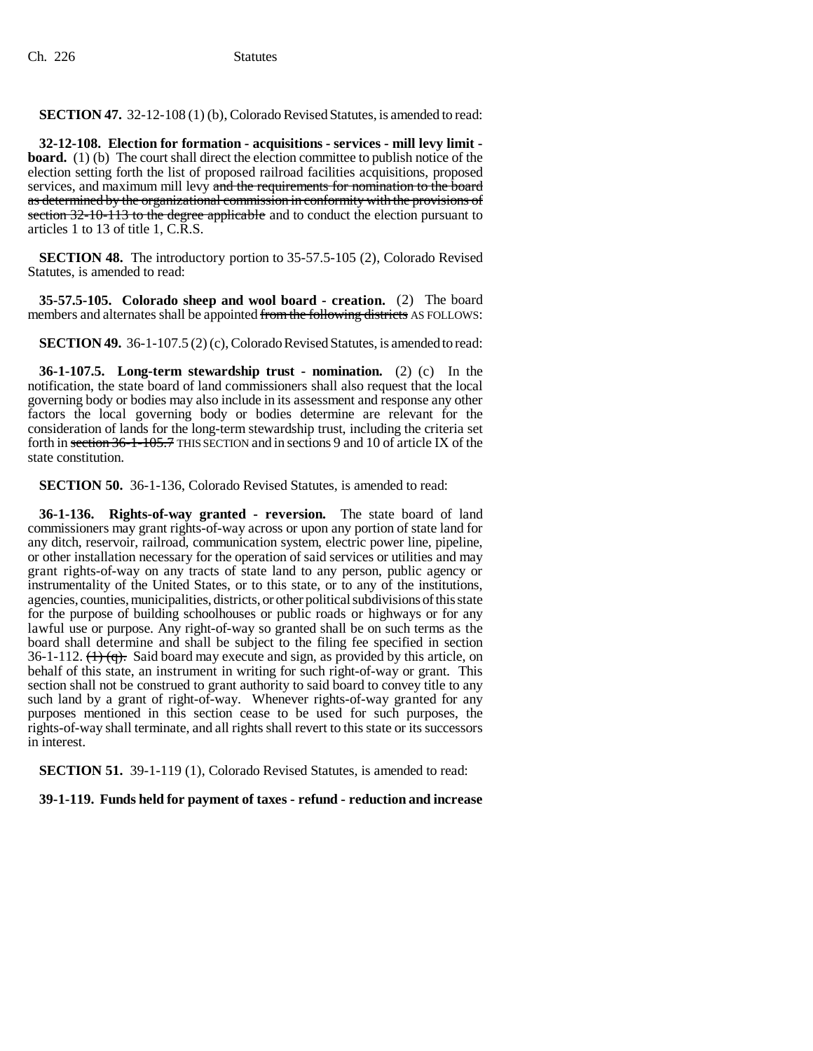**SECTION 47.** 32-12-108 (1) (b), Colorado Revised Statutes, is amended to read:

**32-12-108. Election for formation - acquisitions - services - mill levy limit board.** (1) (b) The court shall direct the election committee to publish notice of the election setting forth the list of proposed railroad facilities acquisitions, proposed services, and maximum mill levy and the requirements for nomination to the board as determined by the organizational commission in conformity with the provisions of section 32-10-113 to the degree applicable and to conduct the election pursuant to articles 1 to 13 of title 1, C.R.S.

**SECTION 48.** The introductory portion to 35-57.5-105 (2), Colorado Revised Statutes, is amended to read:

**35-57.5-105. Colorado sheep and wool board - creation.** (2) The board members and alternates shall be appointed from the following districts AS FOLLOWS:

**SECTION 49.** 36-1-107.5 (2) (c), Colorado Revised Statutes, is amended to read:

**36-1-107.5. Long-term stewardship trust - nomination.** (2) (c) In the notification, the state board of land commissioners shall also request that the local governing body or bodies may also include in its assessment and response any other factors the local governing body or bodies determine are relevant for the consideration of lands for the long-term stewardship trust, including the criteria set forth in section 36-1-105.7 THIS SECTION and in sections 9 and 10 of article IX of the state constitution.

**SECTION 50.** 36-1-136, Colorado Revised Statutes, is amended to read:

**36-1-136. Rights-of-way granted - reversion.** The state board of land commissioners may grant rights-of-way across or upon any portion of state land for any ditch, reservoir, railroad, communication system, electric power line, pipeline, or other installation necessary for the operation of said services or utilities and may grant rights-of-way on any tracts of state land to any person, public agency or instrumentality of the United States, or to this state, or to any of the institutions, agencies, counties, municipalities, districts, or other political subdivisions of this state for the purpose of building schoolhouses or public roads or highways or for any lawful use or purpose. Any right-of-way so granted shall be on such terms as the board shall determine and shall be subject to the filing fee specified in section 36-1-112.  $(1)$   $(q)$ . Said board may execute and sign, as provided by this article, on behalf of this state, an instrument in writing for such right-of-way or grant. This section shall not be construed to grant authority to said board to convey title to any such land by a grant of right-of-way. Whenever rights-of-way granted for any purposes mentioned in this section cease to be used for such purposes, the rights-of-way shall terminate, and all rights shall revert to this state or its successors in interest.

**SECTION 51.** 39-1-119 (1), Colorado Revised Statutes, is amended to read:

**39-1-119. Funds held for payment of taxes - refund - reduction and increase**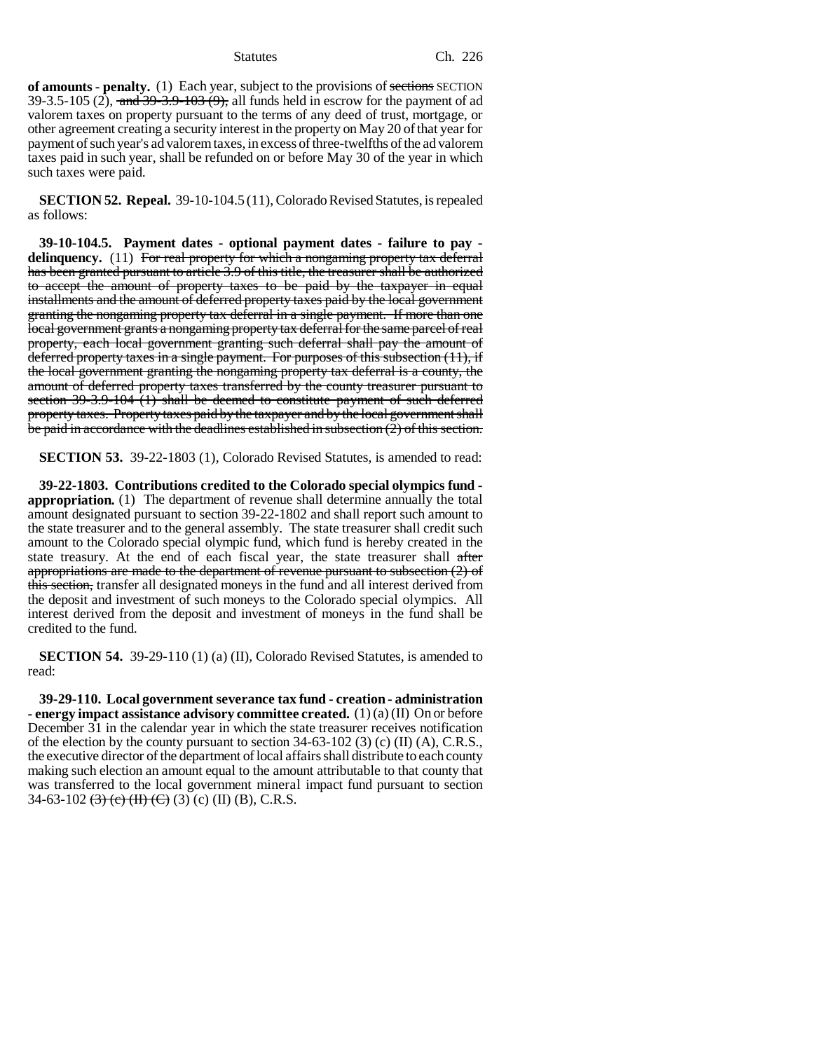**of amounts - penalty.** (1) Each year, subject to the provisions of sections SECTION 39-3.5-105 (2), and  $39-3.9-103(9)$ , all funds held in escrow for the payment of ad valorem taxes on property pursuant to the terms of any deed of trust, mortgage, or other agreement creating a security interest in the property on May 20 of that year for payment of such year's ad valorem taxes, in excess of three-twelfths of the ad valorem taxes paid in such year, shall be refunded on or before May 30 of the year in which such taxes were paid.

**SECTION 52. Repeal.** 39-10-104.5 (11), Colorado Revised Statutes, is repealed as follows:

**39-10-104.5. Payment dates - optional payment dates - failure to pay delinquency.** (11) For real property for which a nongaming property tax deferral has been granted pursuant to article 3.9 of this title, the treasurer shall be authorized to accept the amount of property taxes to be paid by the taxpayer in equal installments and the amount of deferred property taxes paid by the local government granting the nongaming property tax deferral in a single payment. If more than one local government grants a nongaming property tax deferral for the same parcel of real property, each local government granting such deferral shall pay the amount of deferred property taxes in a single payment. For purposes of this subsection (11), if the local government granting the nongaming property tax deferral is a county, the amount of deferred property taxes transferred by the county treasurer pursuant to section 39-3.9-104 (1) shall be deemed to constitute payment of such deferred property taxes. Property taxes paid by the taxpayer and by the local government shall be paid in accordance with the deadlines established in subsection (2) of this section.

**SECTION 53.** 39-22-1803 (1), Colorado Revised Statutes, is amended to read:

**39-22-1803. Contributions credited to the Colorado special olympics fund appropriation.** (1) The department of revenue shall determine annually the total amount designated pursuant to section 39-22-1802 and shall report such amount to the state treasurer and to the general assembly. The state treasurer shall credit such amount to the Colorado special olympic fund, which fund is hereby created in the state treasury. At the end of each fiscal year, the state treasurer shall after appropriations are made to the department of revenue pursuant to subsection (2) of this section, transfer all designated moneys in the fund and all interest derived from the deposit and investment of such moneys to the Colorado special olympics. All interest derived from the deposit and investment of moneys in the fund shall be credited to the fund.

**SECTION 54.** 39-29-110 (1) (a) (II), Colorado Revised Statutes, is amended to read:

**39-29-110. Local government severance tax fund - creation - administration - energy impact assistance advisory committee created.** (1) (a) (II) On or before December 31 in the calendar year in which the state treasurer receives notification of the election by the county pursuant to section 34-63-102 (3) (c) (II) (A), C.R.S., the executive director of the department of local affairs shall distribute to each county making such election an amount equal to the amount attributable to that county that was transferred to the local government mineral impact fund pursuant to section 34-63-102  $\left(\frac{3}{2}\right)$  (c)  $\left(\frac{11}{2}\right)$  (c)  $\left(\frac{11}{2}\right)$  (B), C.R.S.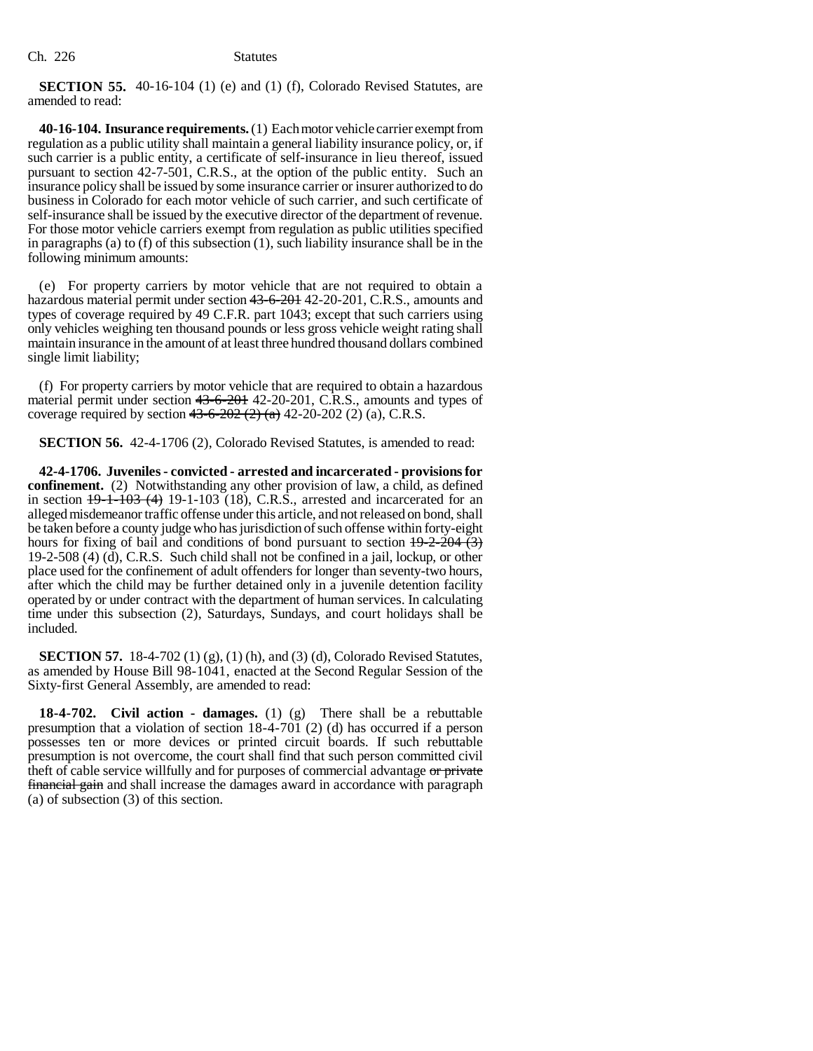**SECTION 55.** 40-16-104 (1) (e) and (1) (f), Colorado Revised Statutes, are amended to read:

**40-16-104. Insurance requirements.** (1) Each motor vehicle carrier exempt from regulation as a public utility shall maintain a general liability insurance policy, or, if such carrier is a public entity, a certificate of self-insurance in lieu thereof, issued pursuant to section 42-7-501, C.R.S., at the option of the public entity. Such an insurance policy shall be issued by some insurance carrier or insurer authorized to do business in Colorado for each motor vehicle of such carrier, and such certificate of self-insurance shall be issued by the executive director of the department of revenue. For those motor vehicle carriers exempt from regulation as public utilities specified in paragraphs (a) to (f) of this subsection  $(1)$ , such liability insurance shall be in the following minimum amounts:

(e) For property carriers by motor vehicle that are not required to obtain a hazardous material permit under section 43-6-201 42-20-201, C.R.S., amounts and types of coverage required by 49 C.F.R. part 1043; except that such carriers using only vehicles weighing ten thousand pounds or less gross vehicle weight rating shall maintain insurance in the amount of at least three hundred thousand dollars combined single limit liability;

(f) For property carriers by motor vehicle that are required to obtain a hazardous material permit under section 43-6-201 42-20-201, C.R.S., amounts and types of coverage required by section  $43-6-202 (2) (a) 42-20-202 (2) (a)$ , C.R.S.

**SECTION 56.** 42-4-1706 (2), Colorado Revised Statutes, is amended to read:

**42-4-1706. Juveniles - convicted - arrested and incarcerated - provisions for confinement.** (2) Notwithstanding any other provision of law, a child, as defined in section  $19-1-103$  (4) 19-1-103 (18), C.R.S., arrested and incarcerated for an alleged misdemeanor traffic offense under this article, and not released on bond, shall be taken before a county judge who has jurisdiction of such offense within forty-eight hours for fixing of bail and conditions of bond pursuant to section  $19-2-204$  (3) 19-2-508 (4) (d), C.R.S. Such child shall not be confined in a jail, lockup, or other place used for the confinement of adult offenders for longer than seventy-two hours, after which the child may be further detained only in a juvenile detention facility operated by or under contract with the department of human services. In calculating time under this subsection (2), Saturdays, Sundays, and court holidays shall be included.

**SECTION 57.** 18-4-702 (1) (g), (1) (h), and (3) (d), Colorado Revised Statutes, as amended by House Bill 98-1041, enacted at the Second Regular Session of the Sixty-first General Assembly, are amended to read:

**18-4-702. Civil action - damages.** (1) (g) There shall be a rebuttable presumption that a violation of section 18-4-701 (2) (d) has occurred if a person possesses ten or more devices or printed circuit boards. If such rebuttable presumption is not overcome, the court shall find that such person committed civil theft of cable service willfully and for purposes of commercial advantage or private financial gain and shall increase the damages award in accordance with paragraph (a) of subsection (3) of this section.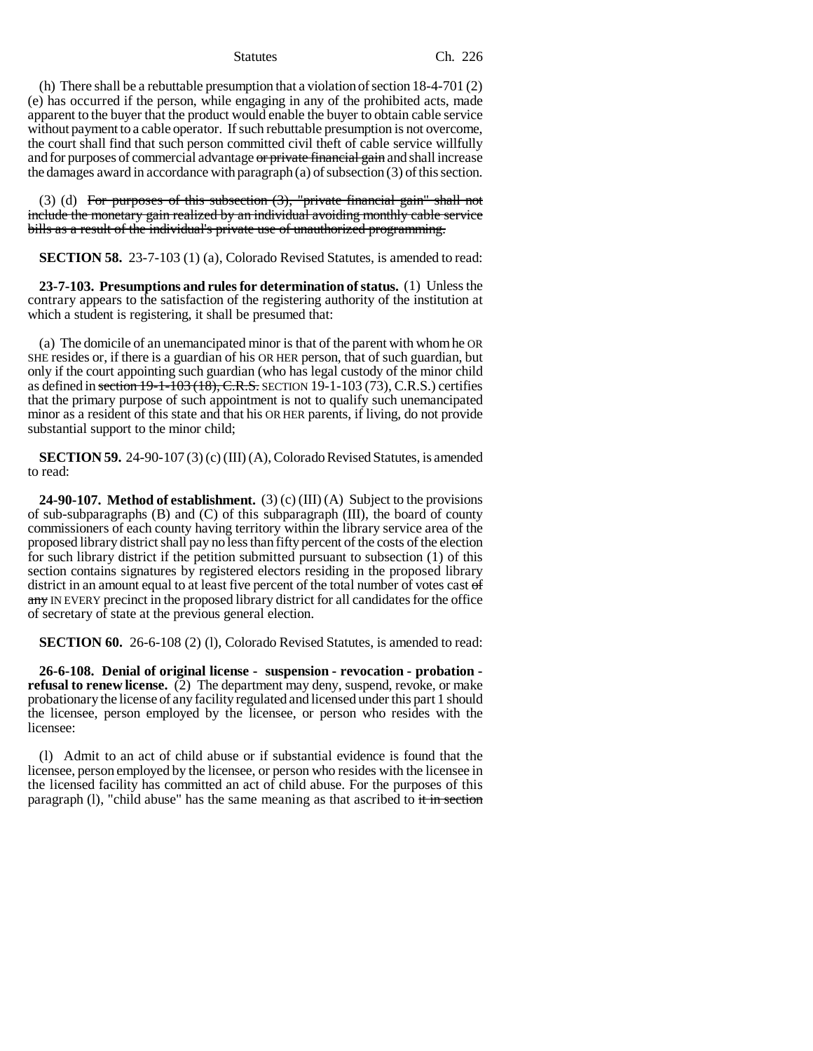(h) There shall be a rebuttable presumption that a violation of section 18-4-701 (2) (e) has occurred if the person, while engaging in any of the prohibited acts, made apparent to the buyer that the product would enable the buyer to obtain cable service without payment to a cable operator. If such rebuttable presumption is not overcome, the court shall find that such person committed civil theft of cable service willfully and for purposes of commercial advantage or private financial gain and shall increase the damages award in accordance with paragraph (a) of subsection (3) of this section.

(3) (d) For purposes of this subsection  $(3)$ , "private financial gain" shall not include the monetary gain realized by an individual avoiding monthly cable service bills as a result of the individual's private use of unauthorized programming.

**SECTION 58.** 23-7-103 (1) (a), Colorado Revised Statutes, is amended to read:

**23-7-103. Presumptions and rules for determination of status.** (1) Unless the contrary appears to the satisfaction of the registering authority of the institution at which a student is registering, it shall be presumed that:

(a) The domicile of an unemancipated minor is that of the parent with whom he OR SHE resides or, if there is a guardian of his OR HER person, that of such guardian, but only if the court appointing such guardian (who has legal custody of the minor child as defined in section  $19-1-103(18)$ , C.R.S. SECTION  $19-1-103(73)$ , C.R.S.) certifies that the primary purpose of such appointment is not to qualify such unemancipated minor as a resident of this state and that his OR HER parents, if living, do not provide substantial support to the minor child;

**SECTION 59.** 24-90-107 (3) (c) (III) (A), Colorado Revised Statutes, is amended to read:

**24-90-107. Method of establishment.** (3) (c) (III) (A) Subject to the provisions of sub-subparagraphs  $(B)$  and  $(C)$  of this subparagraph  $(III)$ , the board of county commissioners of each county having territory within the library service area of the proposed library district shall pay no less than fifty percent of the costs of the election for such library district if the petition submitted pursuant to subsection (1) of this section contains signatures by registered electors residing in the proposed library district in an amount equal to at least five percent of the total number of votes cast  $\sigma f$ any IN EVERY precinct in the proposed library district for all candidates for the office of secretary of state at the previous general election.

**SECTION 60.** 26-6-108 (2) (1), Colorado Revised Statutes, is amended to read:

**26-6-108. Denial of original license - suspension - revocation - probation refusal to renew license.** (2) The department may deny, suspend, revoke, or make probationary the license of any facility regulated and licensed under this part 1 should the licensee, person employed by the licensee, or person who resides with the licensee:

(l) Admit to an act of child abuse or if substantial evidence is found that the licensee, person employed by the licensee, or person who resides with the licensee in the licensed facility has committed an act of child abuse. For the purposes of this paragraph (1), "child abuse" has the same meaning as that ascribed to  $\frac{d}{dt}$  in section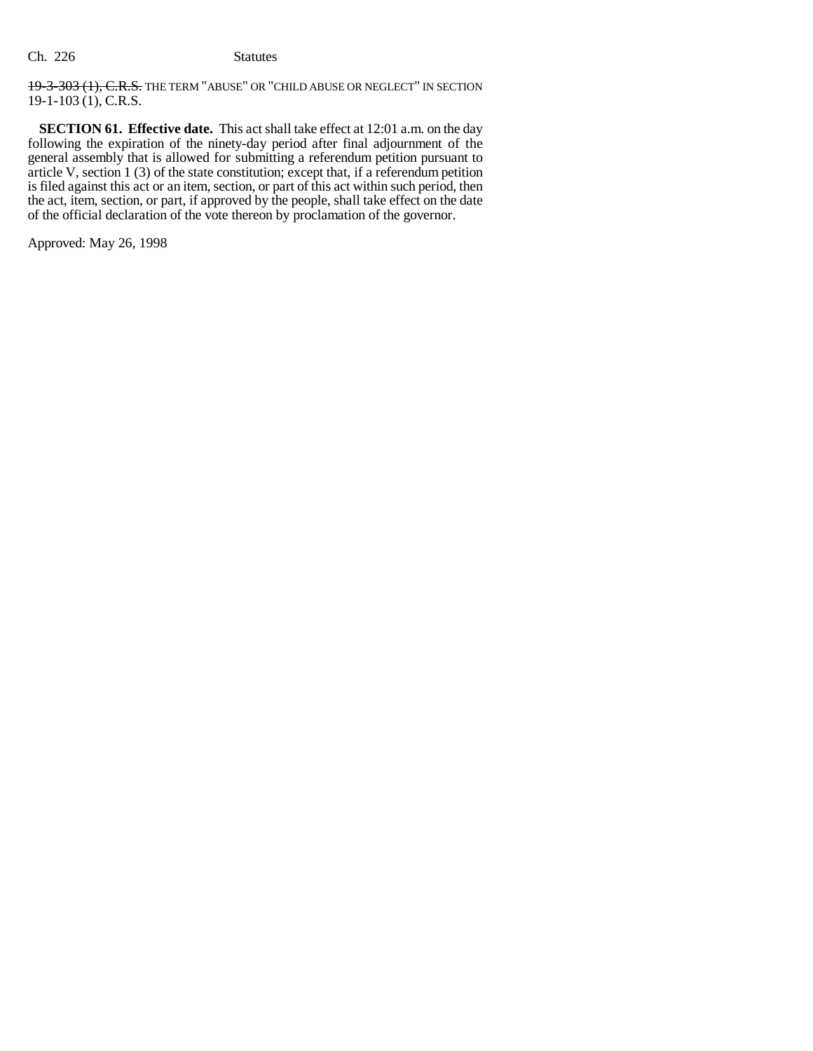19-3-303 (1), C.R.S. THE TERM "ABUSE" OR "CHILD ABUSE OR NEGLECT" IN SECTION  $19-1-103$  (1), C.R.S.

**SECTION 61. Effective date.** This act shall take effect at 12:01 a.m. on the day following the expiration of the ninety-day period after final adjournment of the general assembly that is allowed for submitting a referendum petition pursuant to article V, section 1 (3) of the state constitution; except that, if a referendum petition is filed against this act or an item, section, or part of this act within such period, then the act, item, section, or part, if approved by the people, shall take effect on the date of the official declaration of the vote thereon by proclamation of the governor.

Approved: May 26, 1998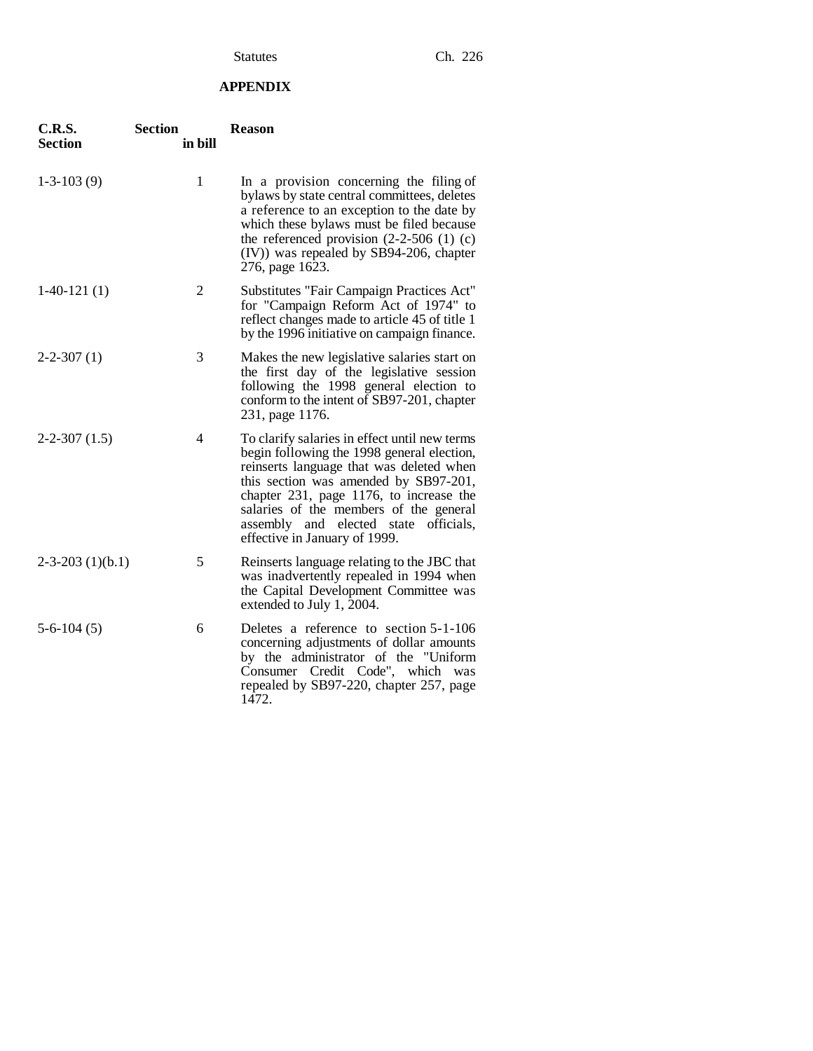# **APPENDIX**

| C.R.S.<br><b>Section</b> | <b>Section</b><br>in bill | <b>Reason</b>                                                                                                                                                                                                                                                                                                                                   |
|--------------------------|---------------------------|-------------------------------------------------------------------------------------------------------------------------------------------------------------------------------------------------------------------------------------------------------------------------------------------------------------------------------------------------|
| $1-3-103(9)$             | 1                         | In a provision concerning the filing of<br>bylaws by state central committees, deletes<br>a reference to an exception to the date by<br>which these bylaws must be filed because<br>the referenced provision $(2-2-506)$ (1) (c)<br>(IV)) was repealed by SB94-206, chapter<br>276, page 1623.                                                  |
| $1-40-121(1)$            | 2                         | Substitutes "Fair Campaign Practices Act"<br>for "Campaign Reform Act of 1974" to<br>reflect changes made to article 45 of title 1<br>by the 1996 initiative on campaign finance.                                                                                                                                                               |
| $2 - 2 - 307(1)$         | 3                         | Makes the new legislative salaries start on<br>the first day of the legislative session<br>following the 1998 general election to<br>conform to the intent of SB97-201, chapter<br>231, page 1176.                                                                                                                                              |
| $2-2-307(1.5)$           | 4                         | To clarify salaries in effect until new terms<br>begin following the 1998 general election,<br>reinserts language that was deleted when<br>this section was amended by SB97-201,<br>chapter 231, page 1176, to increase the<br>salaries of the members of the general<br>assembly and elected state officials,<br>effective in January of 1999. |
| $2-3-203$ (1)(b.1)       | 5                         | Reinserts language relating to the JBC that<br>was inadvertently repealed in 1994 when<br>the Capital Development Committee was<br>extended to July 1, 2004.                                                                                                                                                                                    |
| $5-6-104(5)$             | 6                         | Deletes a reference to section 5-1-106<br>concerning adjustments of dollar amounts<br>by the administrator of the "Uniform<br>Consumer Credit Code", which was<br>repealed by SB97-220, chapter 257, page<br>1472.                                                                                                                              |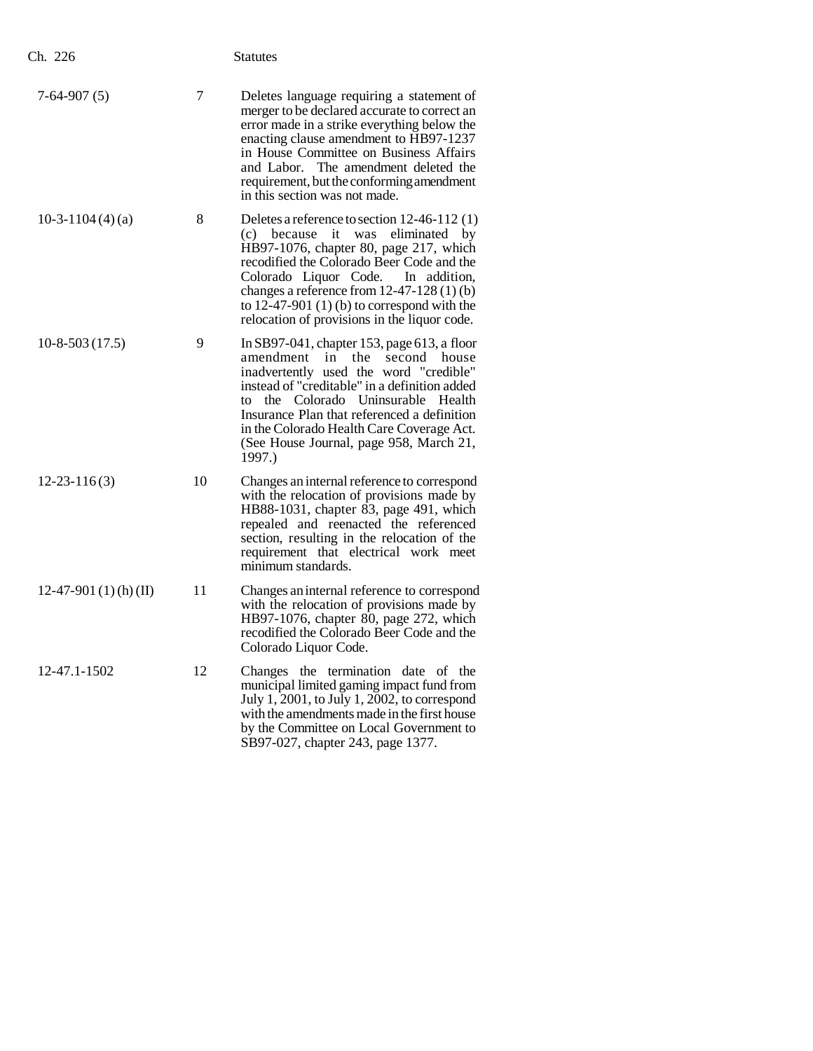| Ch. 226                 |    | <b>Statutes</b>                                                                                                                                                                                                                                                                                                                                                               |
|-------------------------|----|-------------------------------------------------------------------------------------------------------------------------------------------------------------------------------------------------------------------------------------------------------------------------------------------------------------------------------------------------------------------------------|
| $7-64-907(5)$           | 7  | Deletes language requiring a statement of<br>merger to be declared accurate to correct an<br>error made in a strike everything below the<br>enacting clause amendment to HB97-1237<br>in House Committee on Business Affairs<br>and Labor. The amendment deleted the<br>requirement, but the conforming amendment<br>in this section was not made.                            |
| 10-3-1104 $(4)(a)$      | 8  | Deletes a reference to section 12-46-112 (1)<br>(c) because it was<br>eliminated by<br>HB97-1076, chapter 80, page 217, which<br>recodified the Colorado Beer Code and the<br>Colorado Liquor Code. In addition,<br>changes a reference from $12-47-128(1)(b)$<br>to $12-47-901$ (1) (b) to correspond with the<br>relocation of provisions in the liquor code.               |
| $10-8-503(17.5)$        | 9  | In SB97-041, chapter 153, page $613$ , a floor<br>amendment in<br>the<br>second house<br>inadvertently used the word "credible"<br>instead of "creditable" in a definition added<br>the Colorado Uninsurable<br>Health<br>to<br>Insurance Plan that referenced a definition<br>in the Colorado Health Care Coverage Act.<br>(See House Journal, page 958, March 21,<br>1997.) |
| $12 - 23 - 116(3)$      | 10 | Changes an internal reference to correspond<br>with the relocation of provisions made by<br>HB88-1031, chapter 83, page 491, which<br>repealed and reenacted the referenced<br>section, resulting in the relocation of the<br>requirement that electrical work meet<br>minimum standards.                                                                                     |
| $12-47-901(1)$ (h) (II) | 11 | Changes an internal reference to correspond<br>with the relocation of provisions made by<br>HB97-1076, chapter 80, page 272, which<br>recodified the Colorado Beer Code and the<br>Colorado Liquor Code.                                                                                                                                                                      |
| 12-47.1-1502            | 12 | Changes the termination date of the<br>municipal limited gaming impact fund from<br>July 1, 2001, to July 1, 2002, to correspond<br>with the amendments made in the first house<br>by the Committee on Local Government to<br>SB97-027, chapter 243, page 1377.                                                                                                               |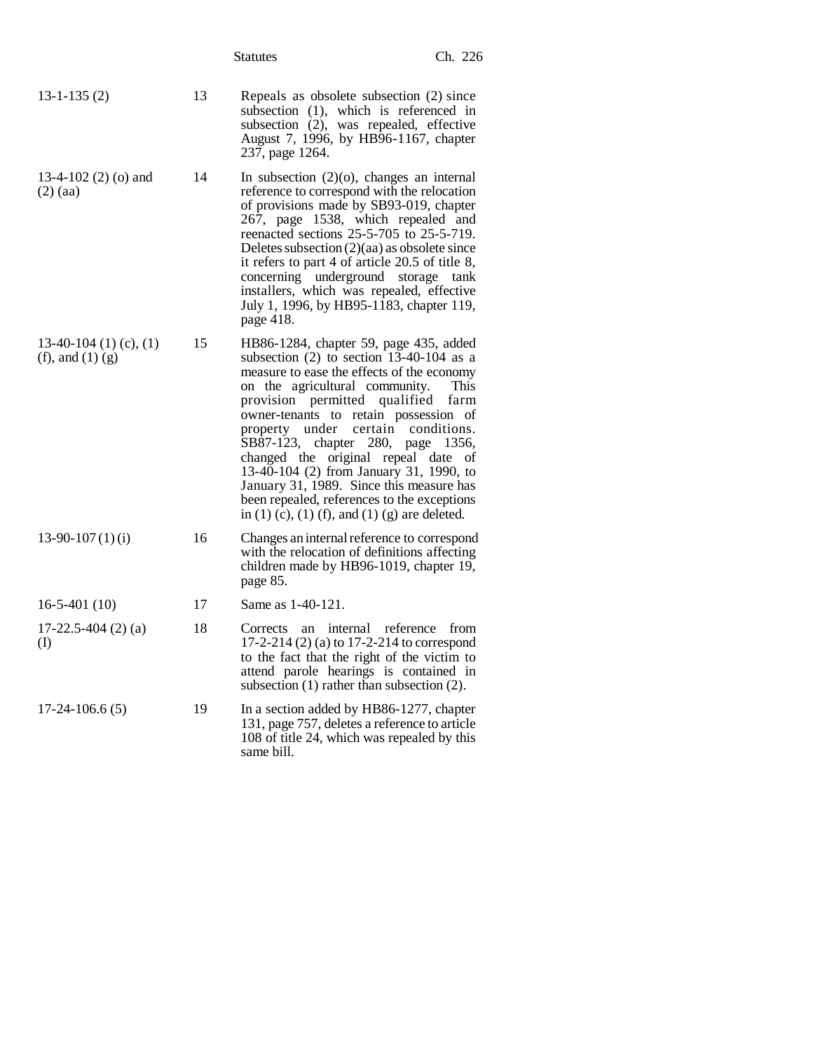|                                              |    | <b>Statutes</b>                                                                                                                                                                                                                                                                                                                                                                                                                                                                                                                               | Ch. 226                          |
|----------------------------------------------|----|-----------------------------------------------------------------------------------------------------------------------------------------------------------------------------------------------------------------------------------------------------------------------------------------------------------------------------------------------------------------------------------------------------------------------------------------------------------------------------------------------------------------------------------------------|----------------------------------|
| $13 - 1 - 135(2)$                            | 13 | Repeals as obsolete subsection (2) since<br>subsection (1), which is referenced in<br>subsection (2), was repealed, effective<br>August 7, 1996, by HB96-1167, chapter<br>237, page 1264.                                                                                                                                                                                                                                                                                                                                                     |                                  |
| 13-4-102 $(2)$ $(0)$ and<br>$(2)$ (aa)       | 14 | In subsection $(2)(o)$ , changes an internal<br>reference to correspond with the relocation<br>of provisions made by SB93-019, chapter<br>267, page 1538, which repealed and<br>reenacted sections 25-5-705 to 25-5-719.<br>Deletes subsection $(2)(aa)$ as obsolete since<br>it refers to part 4 of article 20.5 of title 8,<br>concerning underground storage tank<br>installers, which was repealed, effective<br>July 1, 1996, by HB95-1183, chapter 119,<br>page 418.                                                                    |                                  |
| 13-40-104 (1) (c), (1)<br>(f), and $(1)$ (g) | 15 | HB86-1284, chapter 59, page 435, added<br>subsection $(2)$ to section 13-40-104 as a<br>measure to ease the effects of the economy<br>on the agricultural community.<br>provision permitted qualified farm<br>owner-tenants to retain possession of<br>property under certain<br>SB87-123, chapter 280, page 1356,<br>changed the original repeal date<br>13-40-104 (2) from January 31, 1990, to<br>January 31, 1989. Since this measure has<br>been repealed, references to the exceptions<br>in (1) (c), (1) (f), and (1) (g) are deleted. | <b>This</b><br>conditions.<br>οf |
| $13-90-107(1)(i)$                            | 16 | Changes an internal reference to correspond<br>with the relocation of definitions affecting<br>children made by HB96-1019, chapter 19,<br>page 85.                                                                                                                                                                                                                                                                                                                                                                                            |                                  |
| $16-5-401(10)$                               | 17 | Same as 1-40-121.                                                                                                                                                                                                                                                                                                                                                                                                                                                                                                                             |                                  |
| $17-22.5-404(2)$ (a)<br>(I)                  | 18 | Corrects an internal reference<br>17-2-214 (2) (a) to 17-2-214 to correspond<br>to the fact that the right of the victim to<br>attend parole hearings is contained in<br>subsection $(1)$ rather than subsection $(2)$ .                                                                                                                                                                                                                                                                                                                      | from                             |
| $17-24-106.6(5)$                             | 19 | In a section added by HB86-1277, chapter<br>131, page 757, deletes a reference to article<br>108 of title 24, which was repealed by this<br>same bill.                                                                                                                                                                                                                                                                                                                                                                                        |                                  |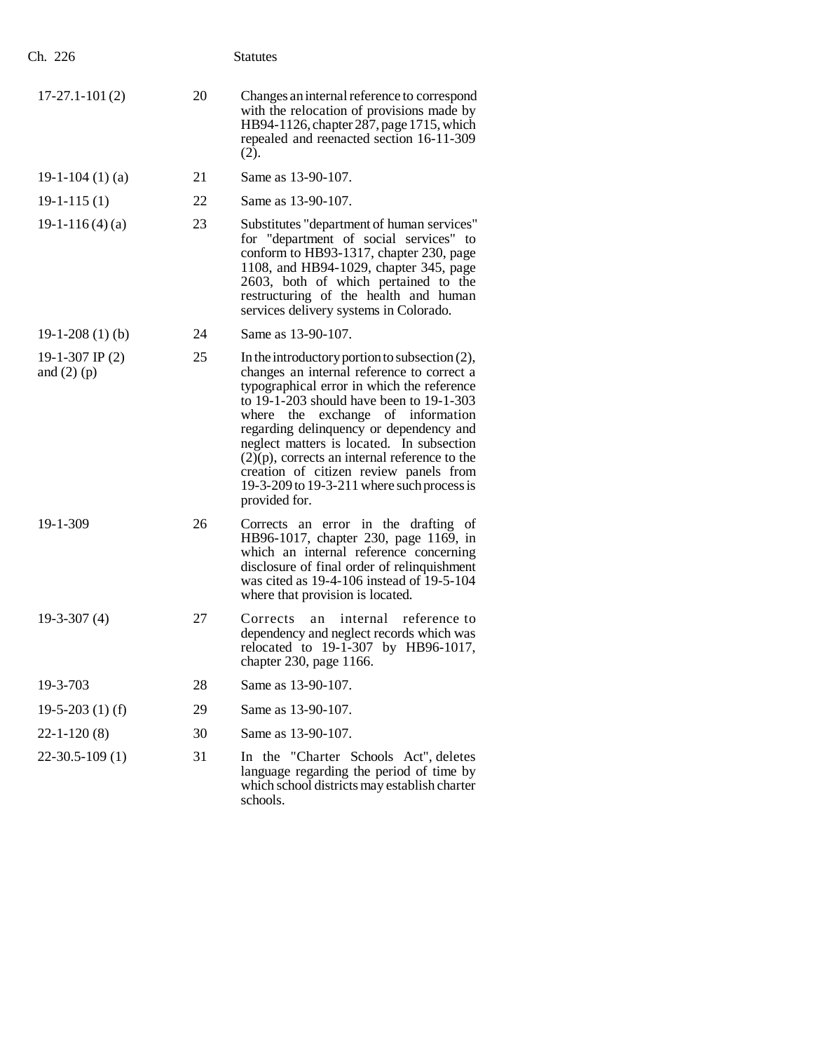| Ch. 226                            |    | <b>Statutes</b>                                                                                                                                                                                                                                                                                                                                                                                                                                                                     |
|------------------------------------|----|-------------------------------------------------------------------------------------------------------------------------------------------------------------------------------------------------------------------------------------------------------------------------------------------------------------------------------------------------------------------------------------------------------------------------------------------------------------------------------------|
| $17-27.1-101(2)$                   | 20 | Changes an internal reference to correspond<br>with the relocation of provisions made by<br>HB94-1126, chapter 287, page 1715, which<br>repealed and reenacted section 16-11-309<br>(2).                                                                                                                                                                                                                                                                                            |
| 19-1-104 $(1)(a)$                  | 21 | Same as 13-90-107.                                                                                                                                                                                                                                                                                                                                                                                                                                                                  |
| $19-1-115(1)$                      | 22 | Same as 13-90-107.                                                                                                                                                                                                                                                                                                                                                                                                                                                                  |
| $19-1-116(4)(a)$                   | 23 | Substitutes "department of human services"<br>for "department of social services" to<br>conform to HB93-1317, chapter 230, page<br>1108, and HB94-1029, chapter 345, page<br>2603, both of which pertained to the<br>restructuring of the health and human<br>services delivery systems in Colorado.                                                                                                                                                                                |
| $19-1-208(1)(b)$                   | 24 | Same as 13-90-107.                                                                                                                                                                                                                                                                                                                                                                                                                                                                  |
| 19-1-307 IP $(2)$<br>and $(2)$ (p) | 25 | In the introductory portion to subsection $(2)$ ,<br>changes an internal reference to correct a<br>typographical error in which the reference<br>to 19-1-203 should have been to 19-1-303<br>where the exchange of information<br>regarding delinquency or dependency and<br>neglect matters is located. In subsection<br>$(2)(p)$ , corrects an internal reference to the<br>creation of citizen review panels from<br>19-3-209 to 19-3-211 where such process is<br>provided for. |
| 19-1-309                           | 26 | Corrects an error in the drafting of<br>HB96-1017, chapter 230, page 1169, in<br>which an internal reference concerning<br>disclosure of final order of relinquishment<br>was cited as 19-4-106 instead of 19-5-104<br>where that provision is located.                                                                                                                                                                                                                             |
| $19-3-307(4)$                      | 27 | internal<br>reference to<br>Corrects<br>an<br>dependency and neglect records which was<br>relocated to $19-1-307$ by HB96-1017,<br>chapter 230, page 1166.                                                                                                                                                                                                                                                                                                                          |
| 19-3-703                           | 28 | Same as 13-90-107.                                                                                                                                                                                                                                                                                                                                                                                                                                                                  |
| 19-5-203 $(1)$ (f)                 | 29 | Same as 13-90-107.                                                                                                                                                                                                                                                                                                                                                                                                                                                                  |
| $22 - 1 - 120(8)$                  | 30 | Same as 13-90-107.                                                                                                                                                                                                                                                                                                                                                                                                                                                                  |
| $22-30.5-109(1)$                   | 31 | In the "Charter Schools Act", deletes<br>language regarding the period of time by<br>which school districts may establish charter<br>schools.                                                                                                                                                                                                                                                                                                                                       |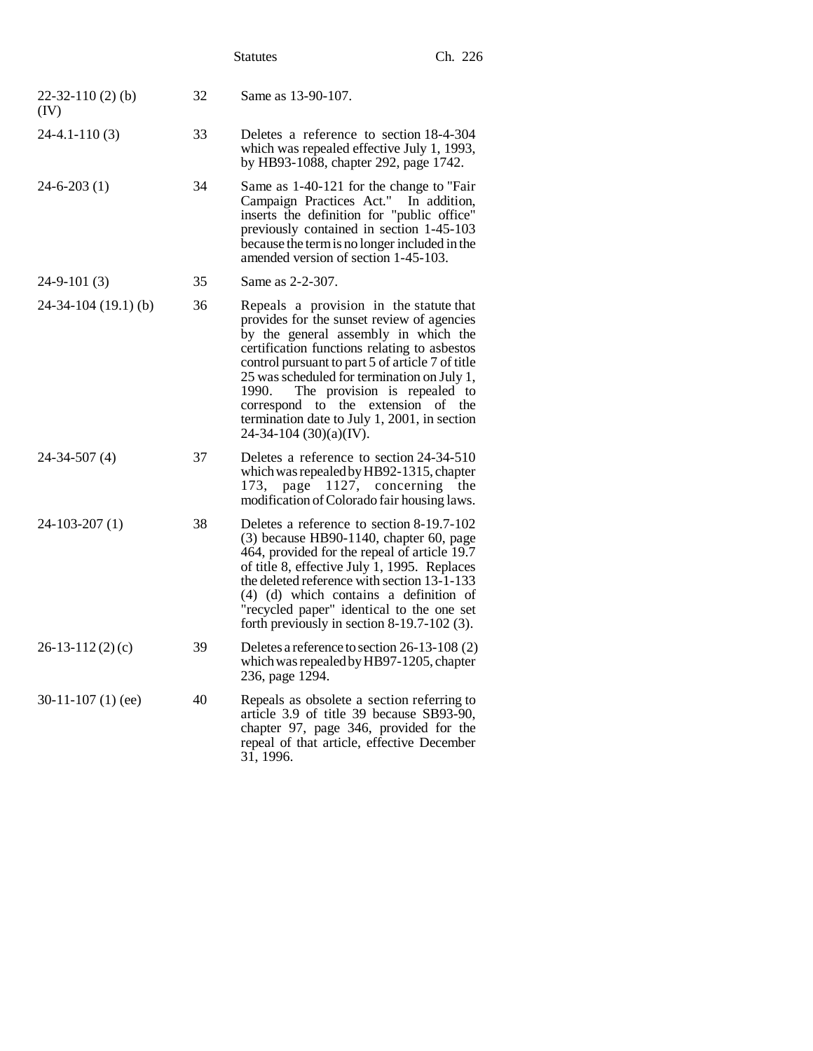|                                |    | <b>Statutes</b>                                                                                                                                                                                                                                                                                                                                                                                                                             | Ch. 226 |
|--------------------------------|----|---------------------------------------------------------------------------------------------------------------------------------------------------------------------------------------------------------------------------------------------------------------------------------------------------------------------------------------------------------------------------------------------------------------------------------------------|---------|
| $22 - 32 - 110(2)$ (b)<br>(IV) | 32 | Same as 13-90-107.                                                                                                                                                                                                                                                                                                                                                                                                                          |         |
| $24-4.1-110(3)$                | 33 | Deletes a reference to section 18-4-304<br>which was repealed effective July 1, 1993,<br>by HB93-1088, chapter 292, page 1742.                                                                                                                                                                                                                                                                                                              |         |
| $24 - 6 - 203(1)$              | 34 | Same as 1-40-121 for the change to "Fair<br>Campaign Practices Act." In addition,<br>inserts the definition for "public office"<br>previously contained in section 1-45-103<br>because the term is no longer included in the<br>amended version of section 1-45-103.                                                                                                                                                                        |         |
| $24-9-101(3)$                  | 35 | Same as 2-2-307.                                                                                                                                                                                                                                                                                                                                                                                                                            |         |
| $24-34-104(19.1)$ (b)          | 36 | Repeals a provision in the statute that<br>provides for the sunset review of agencies<br>by the general assembly in which the<br>certification functions relating to asbestos<br>control pursuant to part 5 of article 7 of title<br>25 was scheduled for termination on July 1,<br>The provision is repealed to<br>1990.<br>correspond to the extension of the<br>termination date to July 1, 2001, in section<br>$24-34-104$ (30)(a)(IV). |         |
| $24 - 34 - 507(4)$             | 37 | Deletes a reference to section 24-34-510<br>which was repealed by HB92-1315, chapter<br>page 1127, concerning<br>173,<br>modification of Colorado fair housing laws.                                                                                                                                                                                                                                                                        | the     |
| $24-103-207(1)$                | 38 | Deletes a reference to section 8-19.7-102<br>$(3)$ because HB90-1140, chapter 60, page<br>464, provided for the repeal of article 19.7<br>of title 8, effective July 1, 1995. Replaces<br>the deleted reference with section 13-1-133<br>(4) (d) which contains a definition of<br>"recycled paper" identical to the one set<br>forth previously in section $8-19.7-102$ (3).                                                               |         |
| $26-13-112(2)(c)$              | 39 | Deletes a reference to section 26-13-108 (2)<br>which was repealed by HB97-1205, chapter<br>236, page 1294.                                                                                                                                                                                                                                                                                                                                 |         |
| $30-11-107(1)$ (ee)            | 40 | Repeals as obsolete a section referring to<br>article 3.9 of title 39 because SB93-90,<br>chapter 97, page 346, provided for the<br>repeal of that article, effective December<br>31, 1996.                                                                                                                                                                                                                                                 |         |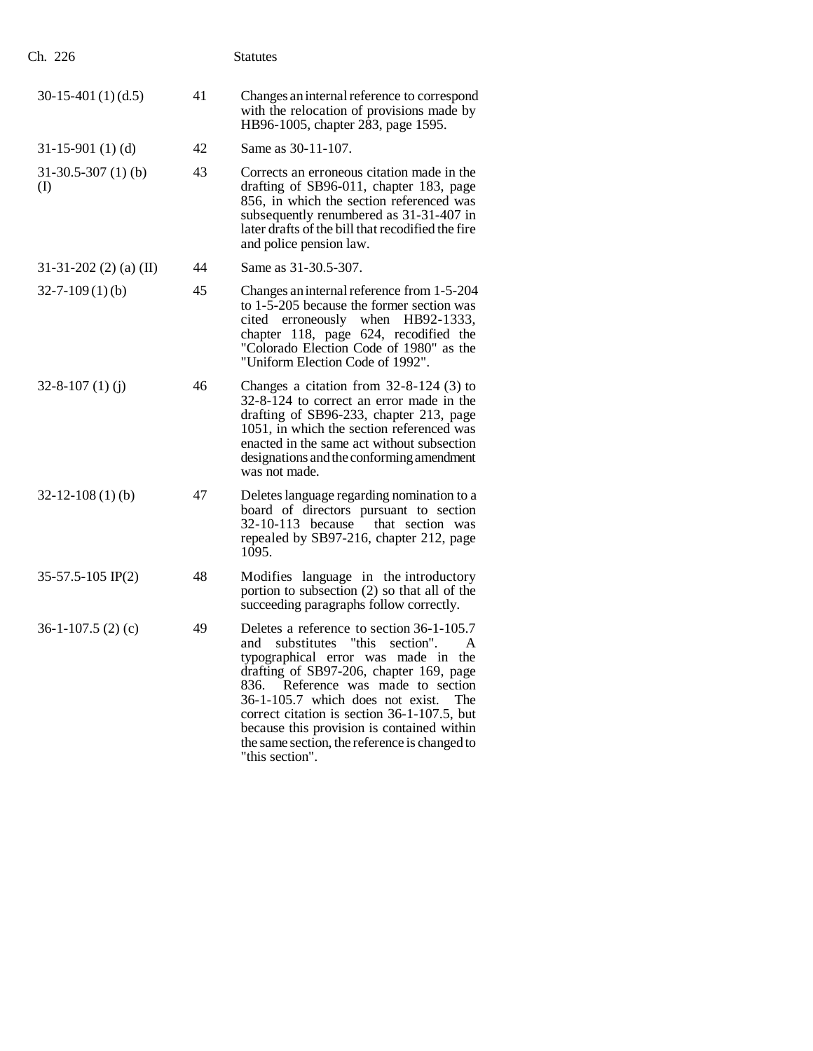| Ch. 226                           |    | <b>Statutes</b>                                                                                                                                                                                                                                                                                                                                                                                                    |
|-----------------------------------|----|--------------------------------------------------------------------------------------------------------------------------------------------------------------------------------------------------------------------------------------------------------------------------------------------------------------------------------------------------------------------------------------------------------------------|
| $30-15-401(1)(d.5)$               | 41 | Changes an internal reference to correspond<br>with the relocation of provisions made by<br>HB96-1005, chapter 283, page 1595.                                                                                                                                                                                                                                                                                     |
| $31-15-901(1)$ (d)                | 42 | Same as 30-11-107.                                                                                                                                                                                                                                                                                                                                                                                                 |
| $31-30.5-307(1)$ (b)<br>$\rm (I)$ | 43 | Corrects an erroneous citation made in the<br>drafting of SB96-011, chapter 183, page<br>856, in which the section referenced was<br>subsequently renumbered as 31-31-407 in<br>later drafts of the bill that recodified the fire<br>and police pension law.                                                                                                                                                       |
| 31-31-202 (2) (a) (II)            | 44 | Same as 31-30.5-307.                                                                                                                                                                                                                                                                                                                                                                                               |
| $32 - 7 - 109(1)(b)$              | 45 | Changes an internal reference from 1-5-204<br>to 1-5-205 because the former section was<br>cited erroneously when HB92-1333,<br>chapter 118, page 624, recodified the<br>"Colorado Election Code of 1980" as the<br>"Uniform Election Code of 1992".                                                                                                                                                               |
| $32 - 8 - 107$ (1) (j)            | 46 | Changes a citation from $32-8-124$ (3) to<br>32-8-124 to correct an error made in the<br>drafting of SB96-233, chapter 213, page<br>1051, in which the section referenced was<br>enacted in the same act without subsection<br>designations and the conforming amendment<br>was not made.                                                                                                                          |
| $32 - 12 - 108(1)$ (b)            | 47 | Deletes language regarding nomination to a<br>board of directors pursuant to section<br>32-10-113 because<br>that section was<br>repealed by SB97-216, chapter 212, page<br>1095.                                                                                                                                                                                                                                  |
| $35-57.5-105$ IP(2)               | 48 | Modifies language in the introductory<br>portion to subsection (2) so that all of the<br>succeeding paragraphs follow correctly.                                                                                                                                                                                                                                                                                   |
| $36-1-107.5$ (2) (c)              | 49 | Deletes a reference to section 36-1-105.7<br>and substitutes "this section". A<br>typographical error was made in the<br>drafting of SB97-206, chapter 169, page<br>836. Reference was made to section<br>36-1-105.7 which does not exist.<br>The<br>correct citation is section 36-1-107.5, but<br>because this provision is contained within<br>the same section, the reference is changed to<br>"this section". |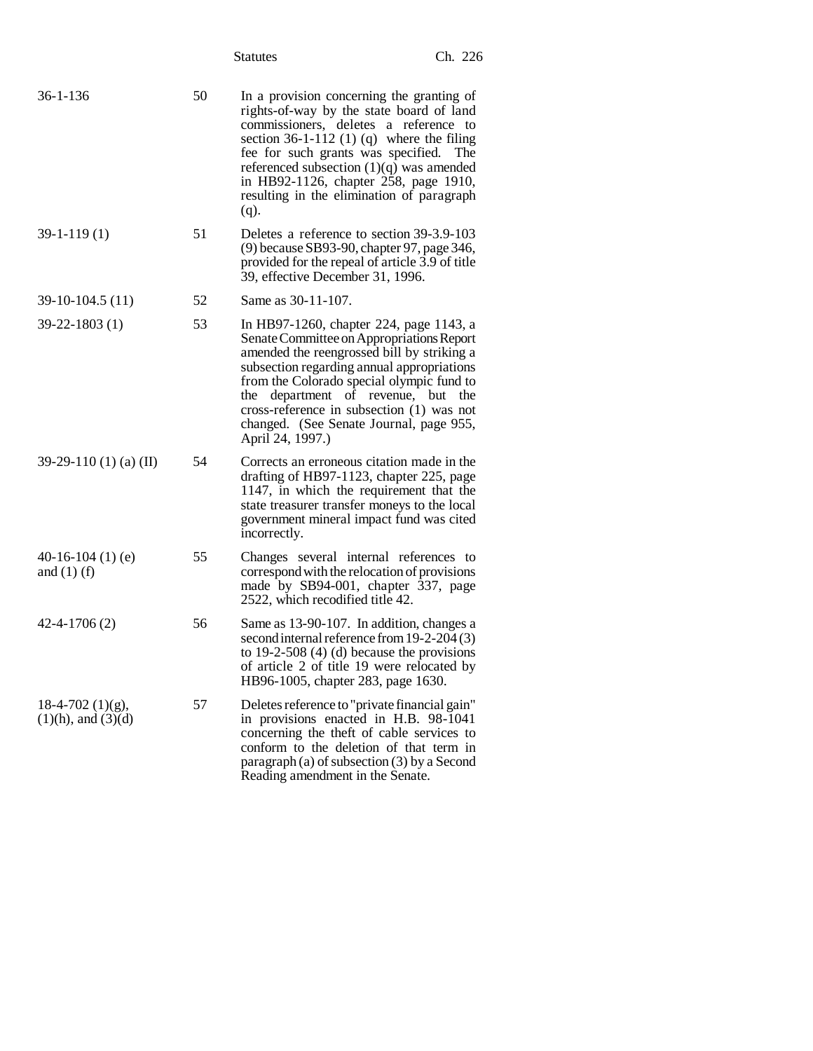|                                               |    | <b>Statutes</b>                                                                                                                                                                                                                                                                                                                                                                  | Ch. 226 |
|-----------------------------------------------|----|----------------------------------------------------------------------------------------------------------------------------------------------------------------------------------------------------------------------------------------------------------------------------------------------------------------------------------------------------------------------------------|---------|
| $36 - 1 - 136$                                | 50 | In a provision concerning the granting of<br>rights-of-way by the state board of land<br>commissioners, deletes a reference to<br>section $36-1-112$ (1) (q) where the filing<br>fee for such grants was specified.<br>referenced subsection $(1)(q)$ was amended<br>in HB92-1126, chapter 258, page 1910,<br>resulting in the elimination of paragraph<br>$(q)$ .               | The     |
| $39-1-119(1)$                                 | 51 | Deletes a reference to section 39-3.9-103<br>(9) because SB93-90, chapter 97, page 346,<br>provided for the repeal of article 3.9 of title<br>39, effective December 31, 1996.                                                                                                                                                                                                   |         |
| 39-10-104.5 (11)                              | 52 | Same as 30-11-107.                                                                                                                                                                                                                                                                                                                                                               |         |
| $39 - 22 - 1803(1)$                           | 53 | In HB97-1260, chapter 224, page 1143, a<br>Senate Committee on Appropriations Report<br>amended the reengrossed bill by striking a<br>subsection regarding annual appropriations<br>from the Colorado special olympic fund to<br>department of revenue, but<br>the<br>cross-reference in subsection $(1)$ was not<br>changed. (See Senate Journal, page 955,<br>April 24, 1997.) | the     |
| 39-29-110 (1) (a) (II)                        | 54 | Corrects an erroneous citation made in the<br>drafting of HB97-1123, chapter 225, page<br>1147, in which the requirement that the<br>state treasurer transfer moneys to the local<br>government mineral impact fund was cited<br>incorrectly.                                                                                                                                    |         |
| 40-16-104 $(1)$ $(e)$<br>and $(1)$ (f)        | 55 | Changes several internal references to<br>correspond with the relocation of provisions<br>made by SB94-001, chapter 337, page<br>2522, which recodified title 42.                                                                                                                                                                                                                |         |
| $42 - 4 - 1706(2)$                            | 56 | Same as 13-90-107. In addition, changes a<br>second internal reference from 19-2-204 (3)<br>to 19-2-508 $(4)$ (d) because the provisions<br>of article 2 of title 19 were relocated by<br>HB96-1005, chapter 283, page 1630.                                                                                                                                                     |         |
| $18-4-702$ (1)(g),<br>$(1)(h)$ , and $(3)(d)$ | 57 | Deletes reference to "private financial gain"<br>in provisions enacted in H.B. 98-1041<br>concerning the theft of cable services to<br>conform to the deletion of that term in<br>paragraph (a) of subsection (3) by a Second<br>Reading amendment in the Senate.                                                                                                                |         |